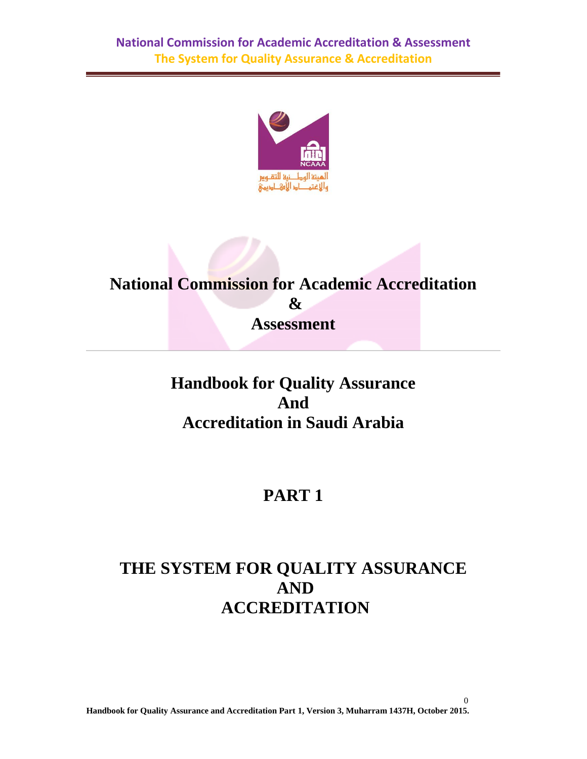

# **National Commission for Academic Accreditation & Assessment**

# **Handbook for Quality Assurance And Accreditation in Saudi Arabia**

# **PART 1**

# **THE SYSTEM FOR QUALITY ASSURANCE AND ACCREDITATION**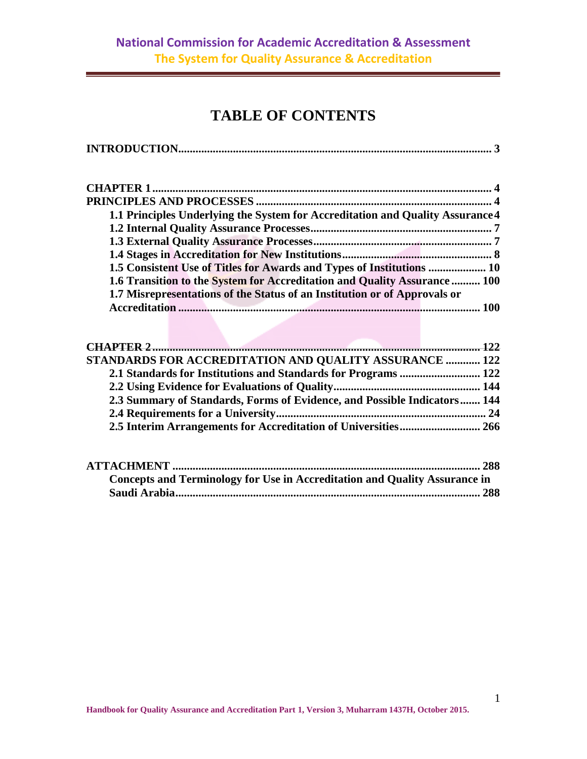# **TABLE OF CONTENTS**

|--|

| 1.1 Principles Underlying the System for Accreditation and Quality Assurance 4 |  |
|--------------------------------------------------------------------------------|--|
|                                                                                |  |
|                                                                                |  |
|                                                                                |  |
| 1.5 Consistent Use of Titles for Awards and Types of Institutions  10          |  |
| 1.6 Transition to the System for Accreditation and Quality Assurance  100      |  |
| 1.7 Misrepresentations of the Status of an Institution or of Approvals or      |  |
|                                                                                |  |

| <b>STANDARDS FOR ACCREDITATION AND QUALITY ASSURANCE  122</b>            |  |  |
|--------------------------------------------------------------------------|--|--|
|                                                                          |  |  |
|                                                                          |  |  |
| 2.3 Summary of Standards, Forms of Evidence, and Possible Indicators 144 |  |  |
|                                                                          |  |  |
|                                                                          |  |  |

| Concepts and Terminology for Use in Accreditation and Quality Assurance in |  |
|----------------------------------------------------------------------------|--|
|                                                                            |  |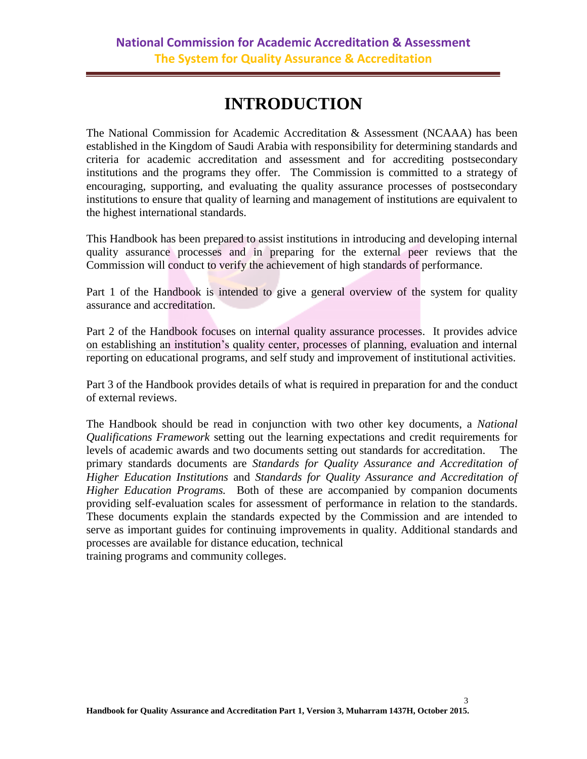# **INTRODUCTION**

<span id="page-2-0"></span>The National Commission for Academic Accreditation & Assessment (NCAAA) has been established in the Kingdom of Saudi Arabia with responsibility for determining standards and criteria for academic accreditation and assessment and for accrediting postsecondary institutions and the programs they offer. The Commission is committed to a strategy of encouraging, supporting, and evaluating the quality assurance processes of postsecondary institutions to ensure that quality of learning and management of institutions are equivalent to the highest international standards.

This Handbook has been prepared to assist institutions in introducing and developing internal quality assurance processes and in preparing for the external peer reviews that the Commission will conduct to verify the achievement of high standards of performance.

Part 1 of the Handbook is intended to give a general overview of the system for quality assurance and accreditation.

Part 2 of the Handbook focuses on internal quality assurance processes. It provides advice on establishing an institution's quality center, processes of planning, evaluation and internal reporting on educational programs, and self study and improvement of institutional activities.

Part 3 of the Handbook provides details of what is required in preparation for and the conduct of external reviews.

The Handbook should be read in conjunction with two other key documents, a *National Qualifications Framework* setting out the learning expectations and credit requirements for levels of academic awards and two documents setting out standards for accreditation. The primary standards documents are *Standards for Quality Assurance and Accreditation of Higher Education Institutions* and *Standards for Quality Assurance and Accreditation of Higher Education Programs.* Both of these are accompanied by companion documents providing self-evaluation scales for assessment of performance in relation to the standards. These documents explain the standards expected by the Commission and are intended to serve as important guides for continuing improvements in quality. Additional standards and processes are available for distance education, technical training programs and community colleges.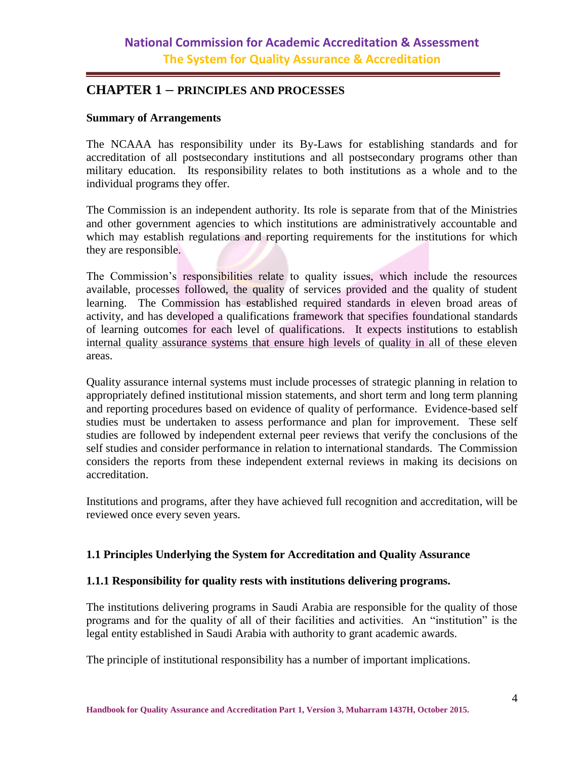### <span id="page-3-1"></span><span id="page-3-0"></span>**CHAPTER 1 – PRINCIPLES AND PROCESSES**

#### **Summary of Arrangements**

The NCAAA has responsibility under its By-Laws for establishing standards and for accreditation of all postsecondary institutions and all postsecondary programs other than military education. Its responsibility relates to both institutions as a whole and to the individual programs they offer.

The Commission is an independent authority. Its role is separate from that of the Ministries and other government agencies to which institutions are administratively accountable and which may establish regulations and reporting requirements for the institutions for which they are responsible.

The Commission's responsibilities relate to quality issues, which include the resources available, processes followed, the quality of services provided and the quality of student learning. The Commission has established required standards in eleven broad areas of activity, and has developed a qualifications framework that specifies foundational standards of learning outcomes for each level of qualifications. It expects institutions to establish internal quality assurance systems that ensure high levels of quality in all of these eleven areas.

Quality assurance internal systems must include processes of strategic planning in relation to appropriately defined institutional mission statements, and short term and long term planning and reporting procedures based on evidence of quality of performance. Evidence-based self studies must be undertaken to assess performance and plan for improvement. These self studies are followed by independent external peer reviews that verify the conclusions of the self studies and consider performance in relation to international standards. The Commission considers the reports from these independent external reviews in making its decisions on accreditation.

Institutions and programs, after they have achieved full recognition and accreditation, will be reviewed once every seven years.

#### <span id="page-3-2"></span>**1.1 Principles Underlying the System for Accreditation and Quality Assurance**

#### **1.1.1 Responsibility for quality rests with institutions delivering programs.**

The institutions delivering programs in Saudi Arabia are responsible for the quality of those programs and for the quality of all of their facilities and activities. An "institution" is the legal entity established in Saudi Arabia with authority to grant academic awards.

The principle of institutional responsibility has a number of important implications.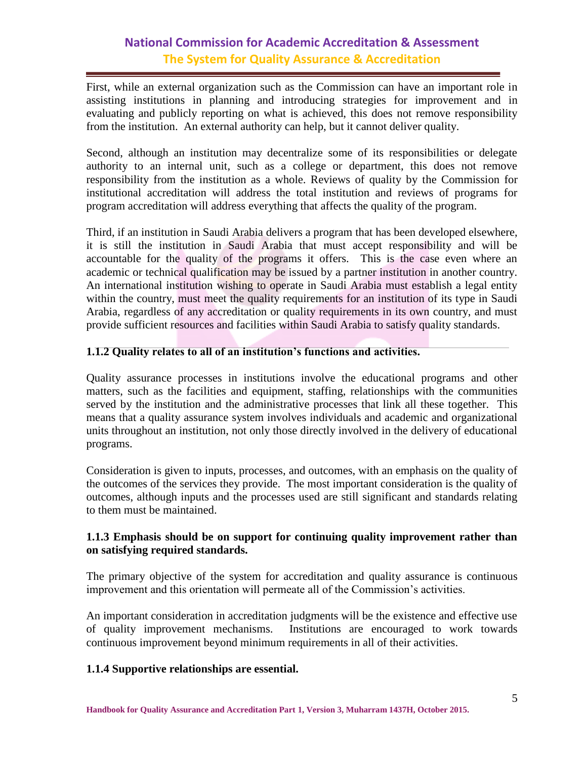First, while an external organization such as the Commission can have an important role in assisting institutions in planning and introducing strategies for improvement and in evaluating and publicly reporting on what is achieved, this does not remove responsibility from the institution. An external authority can help, but it cannot deliver quality.

Second, although an institution may decentralize some of its responsibilities or delegate authority to an internal unit, such as a college or department, this does not remove responsibility from the institution as a whole. Reviews of quality by the Commission for institutional accreditation will address the total institution and reviews of programs for program accreditation will address everything that affects the quality of the program.

Third, if an institution in Saudi Arabia delivers a program that has been developed elsewhere, it is still the institution in Saudi Arabia that must accept responsibility and will be accountable for the quality of the programs it offers. This is the case even where an academic or technical qualification may be issued by a partner institution in another country. An international institution wishing to operate in Saudi Arabia must establish a legal entity within the country, must meet the quality requirements for an institution of its type in Saudi Arabia, regardless of any accreditation or quality requirements in its own country, and must provide sufficient resources and facilities within Saudi Arabia to satisfy quality standards.

#### **1.1.2 Quality relates to all of an institution's functions and activities.**

Quality assurance processes in institutions involve the educational programs and other matters, such as the facilities and equipment, staffing, relationships with the communities served by the institution and the administrative processes that link all these together. This means that a quality assurance system involves individuals and academic and organizational units throughout an institution, not only those directly involved in the delivery of educational programs.

Consideration is given to inputs, processes, and outcomes, with an emphasis on the quality of the outcomes of the services they provide. The most important consideration is the quality of outcomes, although inputs and the processes used are still significant and standards relating to them must be maintained.

#### **1.1.3 Emphasis should be on support for continuing quality improvement rather than on satisfying required standards.**

The primary objective of the system for accreditation and quality assurance is continuous improvement and this orientation will permeate all of the Commission's activities.

An important consideration in accreditation judgments will be the existence and effective use of quality improvement mechanisms. Institutions are encouraged to work towards continuous improvement beyond minimum requirements in all of their activities.

#### **1.1.4 Supportive relationships are essential.**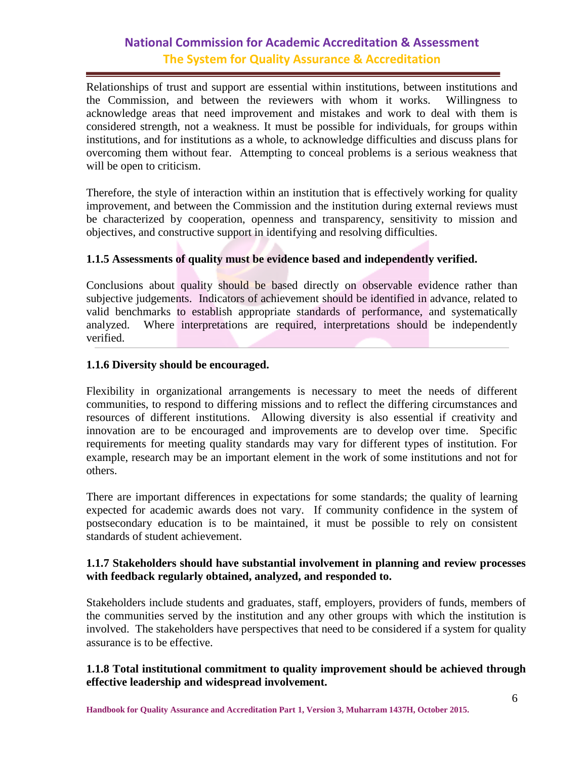Relationships of trust and support are essential within institutions, between institutions and the Commission, and between the reviewers with whom it works. Willingness to acknowledge areas that need improvement and mistakes and work to deal with them is considered strength, not a weakness. It must be possible for individuals, for groups within institutions, and for institutions as a whole, to acknowledge difficulties and discuss plans for overcoming them without fear. Attempting to conceal problems is a serious weakness that will be open to criticism.

Therefore, the style of interaction within an institution that is effectively working for quality improvement, and between the Commission and the institution during external reviews must be characterized by cooperation, openness and transparency, sensitivity to mission and objectives, and constructive support in identifying and resolving difficulties.

#### **1.1.5 Assessments of quality must be evidence based and independently verified.**

Conclusions about quality should be based directly on observable evidence rather than subjective judgements. Indicators of achievement should be identified in advance, related to valid benchmarks to establish appropriate standards of performance, and systematically analyzed. Where interpretations are required, interpretations should be independently verified.

#### **1.1.6 Diversity should be encouraged.**

Flexibility in organizational arrangements is necessary to meet the needs of different communities, to respond to differing missions and to reflect the differing circumstances and resources of different institutions. Allowing diversity is also essential if creativity and innovation are to be encouraged and improvements are to develop over time. Specific requirements for meeting quality standards may vary for different types of institution. For example, research may be an important element in the work of some institutions and not for others.

There are important differences in expectations for some standards; the quality of learning expected for academic awards does not vary. If community confidence in the system of postsecondary education is to be maintained, it must be possible to rely on consistent standards of student achievement.

#### **1.1.7 Stakeholders should have substantial involvement in planning and review processes with feedback regularly obtained, analyzed, and responded to.**

Stakeholders include students and graduates, staff, employers, providers of funds, members of the communities served by the institution and any other groups with which the institution is involved. The stakeholders have perspectives that need to be considered if a system for quality assurance is to be effective.

#### **1.1.8 Total institutional commitment to quality improvement should be achieved through effective leadership and widespread involvement.**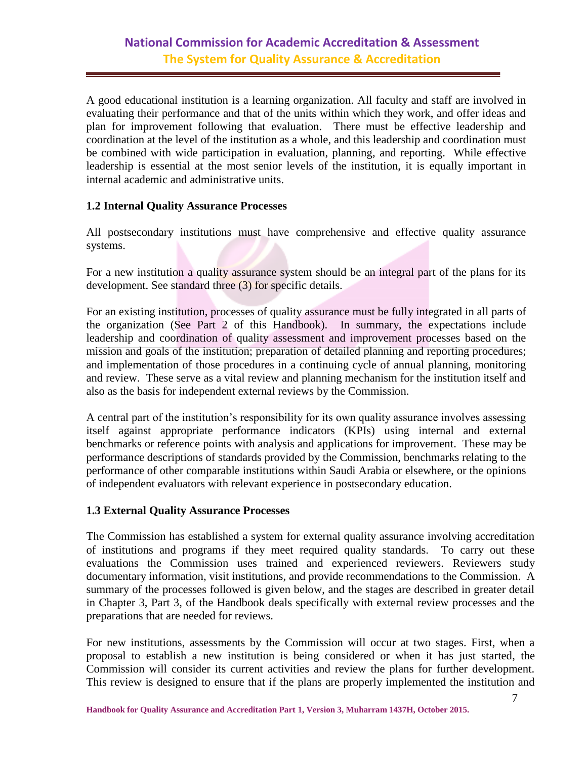A good educational institution is a learning organization. All faculty and staff are involved in evaluating their performance and that of the units within which they work, and offer ideas and plan for improvement following that evaluation. There must be effective leadership and coordination at the level of the institution as a whole, and this leadership and coordination must be combined with wide participation in evaluation, planning, and reporting. While effective leadership is essential at the most senior levels of the institution, it is equally important in internal academic and administrative units.

#### <span id="page-6-0"></span>**1.2 Internal Quality Assurance Processes**

All postsecondary institutions must have comprehensive and effective quality assurance systems.

For a new institution a quality assurance system should be an integral part of the plans for its development. See standard three (3) for specific details.

For an existing institution, processes of quality assurance must be fully integrated in all parts of the organization (See Part 2 of this Handbook). In summary, the expectations include leadership and coordination of quality assessment and improvement processes based on the mission and goals of the institution; preparation of detailed planning and reporting procedures; and implementation of those procedures in a continuing cycle of annual planning, monitoring and review. These serve as a vital review and planning mechanism for the institution itself and also as the basis for independent external reviews by the Commission.

A central part of the institution's responsibility for its own quality assurance involves assessing itself against appropriate performance indicators (KPIs) using internal and external benchmarks or reference points with analysis and applications for improvement. These may be performance descriptions of standards provided by the Commission, benchmarks relating to the performance of other comparable institutions within Saudi Arabia or elsewhere, or the opinions of independent evaluators with relevant experience in postsecondary education.

#### <span id="page-6-1"></span>**1.3 External Quality Assurance Processes**

The Commission has established a system for external quality assurance involving accreditation of institutions and programs if they meet required quality standards. To carry out these evaluations the Commission uses trained and experienced reviewers. Reviewers study documentary information, visit institutions, and provide recommendations to the Commission. A summary of the processes followed is given below, and the stages are described in greater detail in Chapter 3, Part 3, of the Handbook deals specifically with external review processes and the preparations that are needed for reviews.

For new institutions, assessments by the Commission will occur at two stages. First, when a proposal to establish a new institution is being considered or when it has just started, the Commission will consider its current activities and review the plans for further development. This review is designed to ensure that if the plans are properly implemented the institution and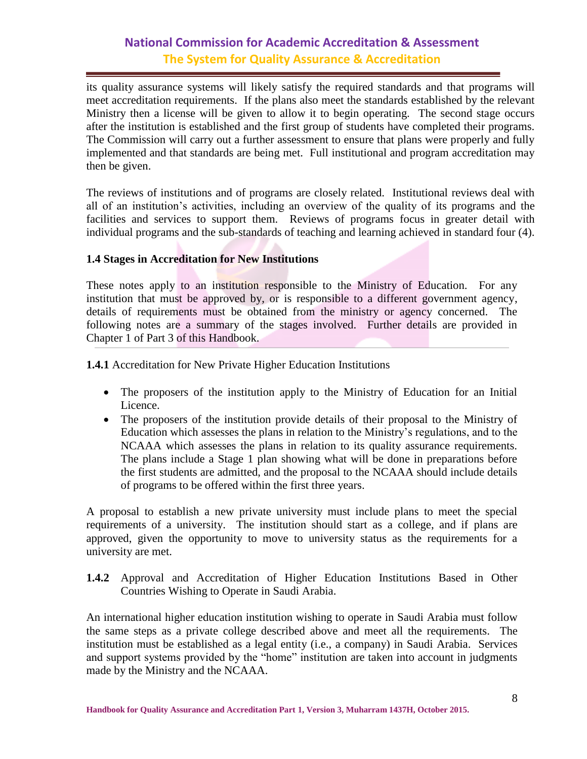its quality assurance systems will likely satisfy the required standards and that programs will meet accreditation requirements. If the plans also meet the standards established by the relevant Ministry then a license will be given to allow it to begin operating. The second stage occurs after the institution is established and the first group of students have completed their programs. The Commission will carry out a further assessment to ensure that plans were properly and fully implemented and that standards are being met. Full institutional and program accreditation may then be given.

The reviews of institutions and of programs are closely related. Institutional reviews deal with all of an institution's activities, including an overview of the quality of its programs and the facilities and services to support them. Reviews of programs focus in greater detail with individual programs and the sub-standards of teaching and learning achieved in standard four (4).

#### <span id="page-7-0"></span>**1.4 Stages in Accreditation for New Institutions**

These notes apply to an institution responsible to the Ministry of Education. For any institution that must be approved by, or is responsible to a different government agency, details of requirements must be obtained from the ministry or agency concerned. The following notes are a summary of the stages involved. Further details are provided in Chapter 1 of Part 3 of this Handbook.

**1.4.1** Accreditation for New Private Higher Education Institutions

- The proposers of the institution apply to the Ministry of Education for an Initial Licence.
- The proposers of the institution provide details of their proposal to the Ministry of Education which assesses the plans in relation to the Ministry's regulations, and to the NCAAA which assesses the plans in relation to its quality assurance requirements. The plans include a Stage 1 plan showing what will be done in preparations before the first students are admitted, and the proposal to the NCAAA should include details of programs to be offered within the first three years.

A proposal to establish a new private university must include plans to meet the special requirements of a university. The institution should start as a college, and if plans are approved, given the opportunity to move to university status as the requirements for a university are met.

**1.4.2** Approval and Accreditation of Higher Education Institutions Based in Other Countries Wishing to Operate in Saudi Arabia.

An international higher education institution wishing to operate in Saudi Arabia must follow the same steps as a private college described above and meet all the requirements. The institution must be established as a legal entity (i.e., a company) in Saudi Arabia. Services and support systems provided by the "home" institution are taken into account in judgments made by the Ministry and the NCAAA.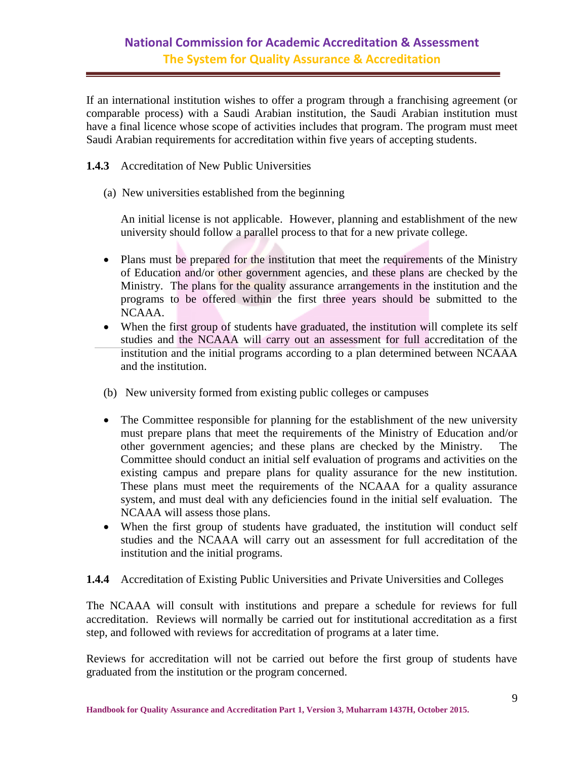If an international institution wishes to offer a program through a franchising agreement (or comparable process) with a Saudi Arabian institution, the Saudi Arabian institution must have a final licence whose scope of activities includes that program. The program must meet Saudi Arabian requirements for accreditation within five years of accepting students.

**1.4.3** Accreditation of New Public Universities

(a) New universities established from the beginning

An initial license is not applicable. However, planning and establishment of the new university should follow a parallel process to that for a new private college.

- Plans must be prepared for the institution that meet the requirements of the Ministry of Education and/or other government agencies, and these plans are checked by the Ministry. The plans for the quality assurance arrangements in the institution and the programs to be offered within the first three years should be submitted to the NCAAA.
- When the first group of students have graduated, the institution will complete its self studies and the NCAAA will carry out an assessment for full accreditation of the institution and the initial programs according to a plan determined between NCAAA and the institution.
- (b) New university formed from existing public colleges or campuses
- The Committee responsible for planning for the establishment of the new university must prepare plans that meet the requirements of the Ministry of Education and/or other government agencies; and these plans are checked by the Ministry. The Committee should conduct an initial self evaluation of programs and activities on the existing campus and prepare plans for quality assurance for the new institution. These plans must meet the requirements of the NCAAA for a quality assurance system, and must deal with any deficiencies found in the initial self evaluation. The NCAAA will assess those plans.
- When the first group of students have graduated, the institution will conduct self studies and the NCAAA will carry out an assessment for full accreditation of the institution and the initial programs.

#### **1.4.4** Accreditation of Existing Public Universities and Private Universities and Colleges

The NCAAA will consult with institutions and prepare a schedule for reviews for full accreditation. Reviews will normally be carried out for institutional accreditation as a first step, and followed with reviews for accreditation of programs at a later time.

Reviews for accreditation will not be carried out before the first group of students have graduated from the institution or the program concerned.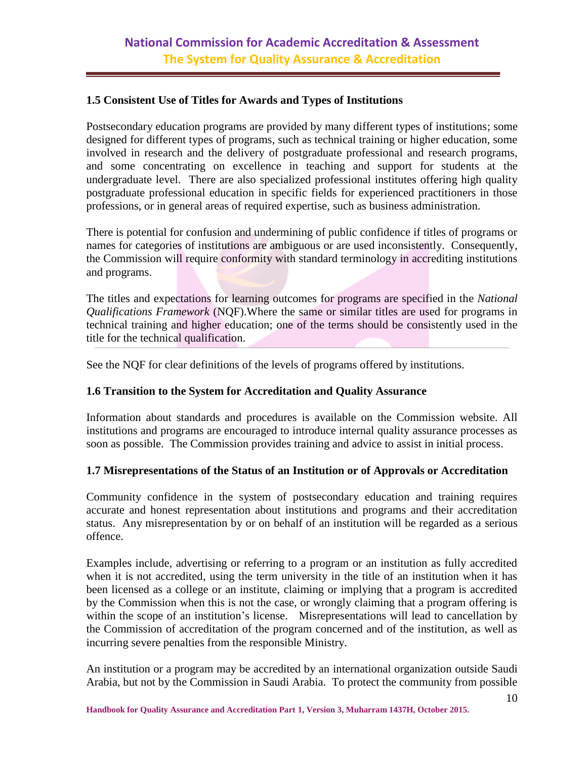#### <span id="page-9-0"></span>**1.5 Consistent Use of Titles for Awards and Types of Institutions**

Postsecondary education programs are provided by many different types of institutions; some designed for different types of programs, such as technical training or higher education, some involved in research and the delivery of postgraduate professional and research programs, and some concentrating on excellence in teaching and support for students at the undergraduate level. There are also specialized professional institutes offering high quality postgraduate professional education in specific fields for experienced practitioners in those professions, or in general areas of required expertise, such as business administration.

There is potential for confusion and undermining of public confidence if titles of programs or names for categories of institutions are ambiguous or are used inconsistently. Consequently, the Commission will require conformity with standard terminology in accrediting institutions and programs.

The titles and expectations for learning outcomes for programs are specified in the *National Qualifications Framework* (NQF).Where the same or similar titles are used for programs in technical training and higher education; one of the terms should be consistently used in the title for the technical qualification.

See the NQF for clear definitions of the levels of programs offered by institutions.

#### <span id="page-9-1"></span>**1.6 Transition to the System for Accreditation and Quality Assurance**

Information about standards and procedures is available on the Commission website. All institutions and programs are encouraged to introduce internal quality assurance processes as soon as possible. The Commission provides training and advice to assist in initial process.

#### <span id="page-9-2"></span>**1.7 Misrepresentations of the Status of an Institution or of Approvals or Accreditation**

Community confidence in the system of postsecondary education and training requires accurate and honest representation about institutions and programs and their accreditation status. Any misrepresentation by or on behalf of an institution will be regarded as a serious offence.

Examples include, advertising or referring to a program or an institution as fully accredited when it is not accredited, using the term university in the title of an institution when it has been licensed as a college or an institute, claiming or implying that a program is accredited by the Commission when this is not the case, or wrongly claiming that a program offering is within the scope of an institution's license. Misrepresentations will lead to cancellation by the Commission of accreditation of the program concerned and of the institution, as well as incurring severe penalties from the responsible Ministry.

An institution or a program may be accredited by an international organization outside Saudi Arabia, but not by the Commission in Saudi Arabia. To protect the community from possible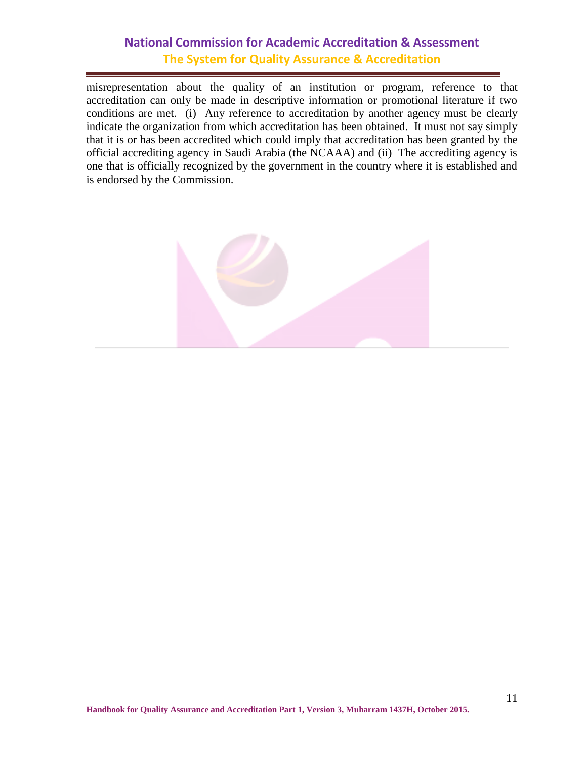misrepresentation about the quality of an institution or program, reference to that accreditation can only be made in descriptive information or promotional literature if two conditions are met. (i) Any reference to accreditation by another agency must be clearly indicate the organization from which accreditation has been obtained. It must not say simply that it is or has been accredited which could imply that accreditation has been granted by the official accrediting agency in Saudi Arabia (the NCAAA) and (ii) The accrediting agency is one that is officially recognized by the government in the country where it is established and is endorsed by the Commission.

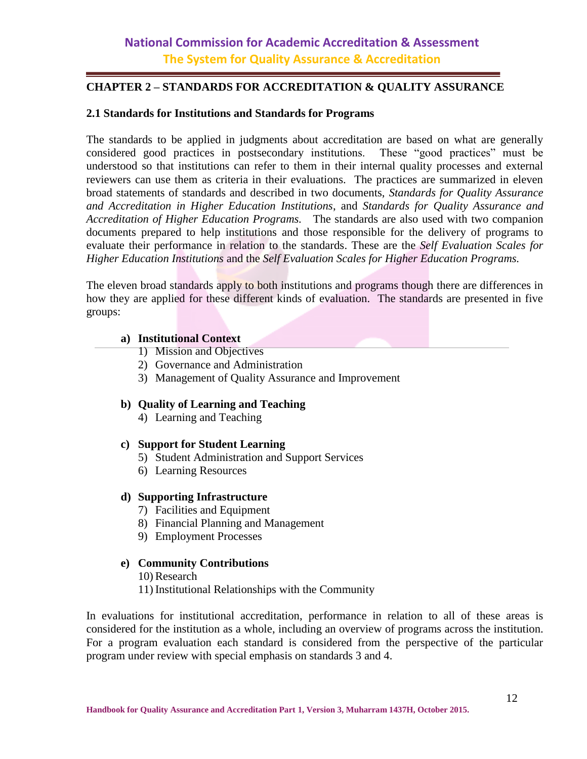#### <span id="page-11-1"></span><span id="page-11-0"></span>**CHAPTER 2 – STANDARDS FOR ACCREDITATION & QUALITY ASSURANCE**

#### <span id="page-11-2"></span>**2.1 Standards for Institutions and Standards for Programs**

The standards to be applied in judgments about accreditation are based on what are generally considered good practices in postsecondary institutions. These "good practices" must be understood so that institutions can refer to them in their internal quality processes and external reviewers can use them as criteria in their evaluations. The practices are summarized in eleven broad statements of standards and described in two documents, *Standards for Quality Assurance and Accreditation in Higher Education Institutions*, and *Standards for Quality Assurance and Accreditation of Higher Education Programs.* The standards are also used with two companion documents prepared to help institutions and those responsible for the delivery of programs to evaluate their performance in relation to the standards. These are the *Self Evaluation Scales for Higher Education Institutions* and the *Self Evaluation Scales for Higher Education Programs.* 

The eleven broad standards apply to both institutions and programs though there are differences in how they are applied for these different kinds of evaluation. The standards are presented in five groups:

#### **a) Institutional Context**

- 1) Mission and Objectives
- 2) Governance and Administration
- 3) Management of Quality Assurance and Improvement

#### **b) Quality of Learning and Teaching**

4) Learning and Teaching

#### **c) Support for Student Learning**

- 5) Student Administration and Support Services
- 6) Learning Resources

#### **d) Supporting Infrastructure**

- 7) Facilities and Equipment
- 8) Financial Planning and Management
- 9) Employment Processes

#### **e) Community Contributions**

10) Research

11) Institutional Relationships with the Community

In evaluations for institutional accreditation, performance in relation to all of these areas is considered for the institution as a whole, including an overview of programs across the institution. For a program evaluation each standard is considered from the perspective of the particular program under review with special emphasis on standards 3 and 4.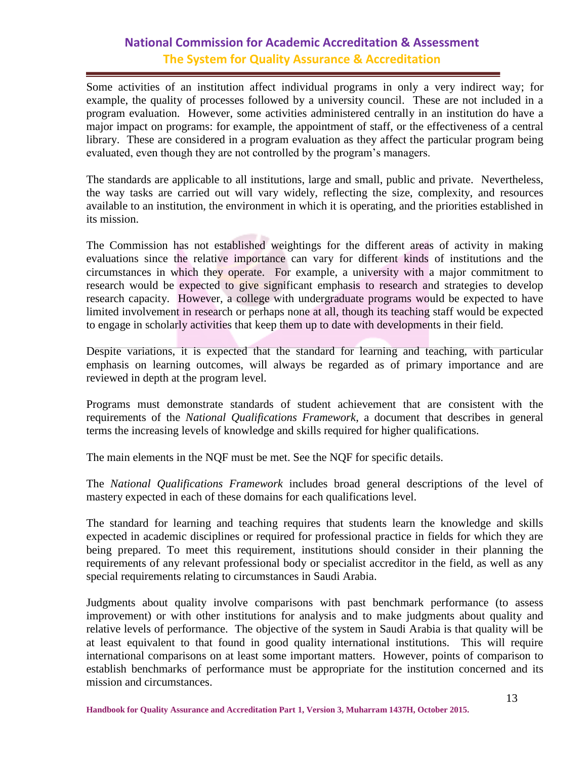Some activities of an institution affect individual programs in only a very indirect way; for example, the quality of processes followed by a university council. These are not included in a program evaluation. However, some activities administered centrally in an institution do have a major impact on programs: for example, the appointment of staff, or the effectiveness of a central library. These are considered in a program evaluation as they affect the particular program being evaluated, even though they are not controlled by the program's managers.

The standards are applicable to all institutions, large and small, public and private. Nevertheless, the way tasks are carried out will vary widely, reflecting the size, complexity, and resources available to an institution, the environment in which it is operating, and the priorities established in its mission.

The Commission has not established weightings for the different areas of activity in making evaluations since the relative importance can vary for different kinds of institutions and the circumstances in which they operate. For example, a university with a major commitment to research would be expected to give significant emphasis to research and strategies to develop research capacity. However, a college with undergraduate programs would be expected to have limited involvement in research or perhaps none at all, though its teaching staff would be expected to engage in scholarly activities that keep them up to date with developments in their field.

Despite variations, it is expected that the standard for learning and teaching, with particular emphasis on learning outcomes, will always be regarded as of primary importance and are reviewed in depth at the program level.

Programs must demonstrate standards of student achievement that are consistent with the requirements of the *National Qualifications Framework*, a document that describes in general terms the increasing levels of knowledge and skills required for higher qualifications.

The main elements in the NQF must be met. See the NQF for specific details.

The *National Qualifications Framework* includes broad general descriptions of the level of mastery expected in each of these domains for each qualifications level.

The standard for learning and teaching requires that students learn the knowledge and skills expected in academic disciplines or required for professional practice in fields for which they are being prepared. To meet this requirement, institutions should consider in their planning the requirements of any relevant professional body or specialist accreditor in the field, as well as any special requirements relating to circumstances in Saudi Arabia.

Judgments about quality involve comparisons with past benchmark performance (to assess improvement) or with other institutions for analysis and to make judgments about quality and relative levels of performance. The objective of the system in Saudi Arabia is that quality will be at least equivalent to that found in good quality international institutions. This will require international comparisons on at least some important matters. However, points of comparison to establish benchmarks of performance must be appropriate for the institution concerned and its mission and circumstances.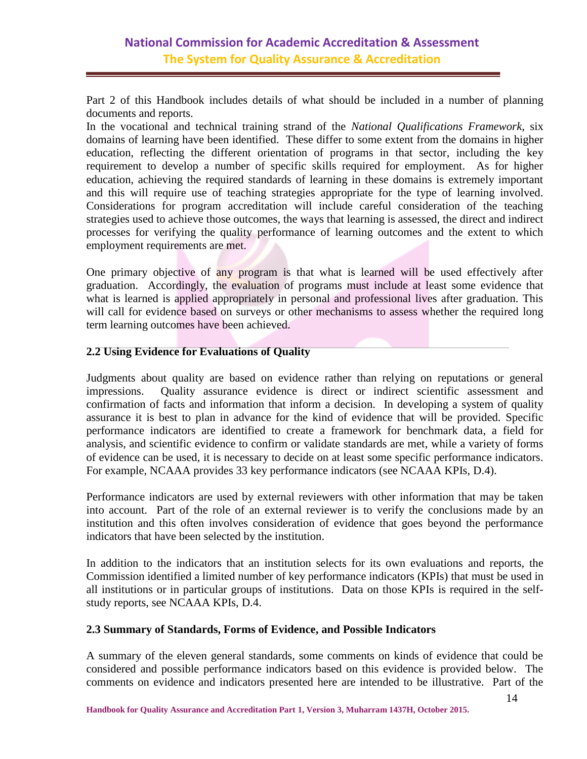Part 2 of this Handbook includes details of what should be included in a number of planning documents and reports.

In the vocational and technical training strand of the *National Qualifications Framework*, six domains of learning have been identified. These differ to some extent from the domains in higher education, reflecting the different orientation of programs in that sector, including the key requirement to develop a number of specific skills required for employment. As for higher education, achieving the required standards of learning in these domains is extremely important and this will require use of teaching strategies appropriate for the type of learning involved. Considerations for program accreditation will include careful consideration of the teaching strategies used to achieve those outcomes, the ways that learning is assessed, the direct and indirect processes for verifying the quality performance of learning outcomes and the extent to which employment requirements are met.

One primary objective of any program is that what is learned will be used effectively after graduation. Accordingly, the evaluation of programs must include at least some evidence that what is learned is applied appropriately in personal and professional lives after graduation. This will call for evidence based on surveys or other mechanisms to assess whether the required long term learning outcomes have been achieved.

#### <span id="page-13-0"></span>**2.2 Using Evidence for Evaluations of Quality**

Judgments about quality are based on evidence rather than relying on reputations or general impressions. Quality assurance evidence is direct or indirect scientific assessment and confirmation of facts and information that inform a decision. In developing a system of quality assurance it is best to plan in advance for the kind of evidence that will be provided. Specific performance indicators are identified to create a framework for benchmark data, a field for analysis, and scientific evidence to confirm or validate standards are met, while a variety of forms of evidence can be used, it is necessary to decide on at least some specific performance indicators. For example, NCAAA provides 33 key performance indicators (see NCAAA KPIs, D.4).

Performance indicators are used by external reviewers with other information that may be taken into account. Part of the role of an external reviewer is to verify the conclusions made by an institution and this often involves consideration of evidence that goes beyond the performance indicators that have been selected by the institution.

In addition to the indicators that an institution selects for its own evaluations and reports, the Commission identified a limited number of key performance indicators (KPIs) that must be used in all institutions or in particular groups of institutions. Data on those KPIs is required in the selfstudy reports, see NCAAA KPIs, D.4.

#### <span id="page-13-1"></span>**2.3 Summary of Standards, Forms of Evidence, and Possible Indicators**

A summary of the eleven general standards, some comments on kinds of evidence that could be considered and possible performance indicators based on this evidence is provided below. The comments on evidence and indicators presented here are intended to be illustrative. Part of the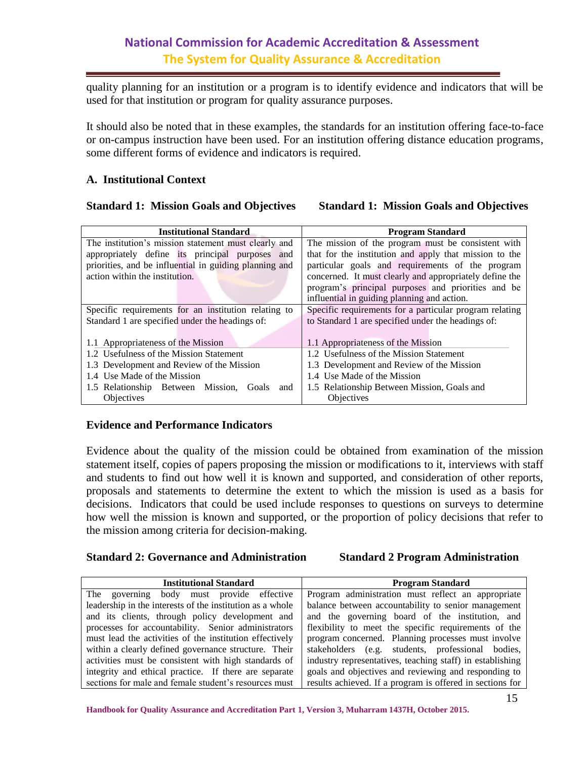quality planning for an institution or a program is to identify evidence and indicators that will be used for that institution or program for quality assurance purposes.

It should also be noted that in these examples, the standards for an institution offering face-to-face or on-campus instruction have been used. For an institution offering distance education programs, some different forms of evidence and indicators is required.

**Institutional Standard Program Standard**

#### **A. Institutional Context**

#### **Standard 1: Mission Goals and Objectives Standard 1: Mission Goals and Objectives**

| ппостататопит отиплин у                                | 11021ani Dianuaru                                       |  |  |  |  |
|--------------------------------------------------------|---------------------------------------------------------|--|--|--|--|
| The institution's mission statement must clearly and   | The mission of the program must be consistent with      |  |  |  |  |
| appropriately define its principal purposes and        | that for the institution and apply that mission to the  |  |  |  |  |
| priorities, and be influential in guiding planning and | particular goals and requirements of the program        |  |  |  |  |
| action within the institution.                         | concerned. It must clearly and appropriately define the |  |  |  |  |
|                                                        | program's principal purposes and priorities and be      |  |  |  |  |
|                                                        | influential in guiding planning and action.             |  |  |  |  |
| Specific requirements for an institution relating to   | Specific requirements for a particular program relating |  |  |  |  |
| Standard 1 are specified under the headings of:        | to Standard 1 are specified under the headings of:      |  |  |  |  |
|                                                        |                                                         |  |  |  |  |
| 1.1 Appropriateness of the Mission                     | 1.1 Appropriateness of the Mission                      |  |  |  |  |
| 1.2 Usefulness of the Mission Statement                | 1.2 Usefulness of the Mission Statement                 |  |  |  |  |
| 1.3 Development and Review of the Mission              | 1.3 Development and Review of the Mission               |  |  |  |  |
| 1.4 Use Made of the Mission                            | 1.4 Use Made of the Mission                             |  |  |  |  |
| 1.5 Relationship Between Mission,<br>Goals<br>and      | 1.5 Relationship Between Mission, Goals and             |  |  |  |  |
| Objectives                                             | Objectives                                              |  |  |  |  |
|                                                        |                                                         |  |  |  |  |

#### **Evidence and Performance Indicators**

Evidence about the quality of the mission could be obtained from examination of the mission statement itself, copies of papers proposing the mission or modifications to it, interviews with staff and students to find out how well it is known and supported, and consideration of other reports, proposals and statements to determine the extent to which the mission is used as a basis for decisions. Indicators that could be used include responses to questions on surveys to determine how well the mission is known and supported, or the proportion of policy decisions that refer to the mission among criteria for decision-making.

#### **Standard 2: Governance and Administration Standard 2 Program Administration**

| <b>Institutional Standard</b>                                                                                 | <b>Program Standard</b>                                   |  |  |  |  |  |  |  |
|---------------------------------------------------------------------------------------------------------------|-----------------------------------------------------------|--|--|--|--|--|--|--|
| The governing body must provide effective                                                                     | Program administration must reflect an appropriate        |  |  |  |  |  |  |  |
| leadership in the interests of the institution as a whole                                                     | balance between accountability to senior management       |  |  |  |  |  |  |  |
| and its clients, through policy development and                                                               | and the governing board of the institution, and           |  |  |  |  |  |  |  |
| flexibility to meet the specific requirements of the<br>processes for accountability. Senior administrators   |                                                           |  |  |  |  |  |  |  |
| must lead the activities of the institution effectively<br>program concerned. Planning processes must involve |                                                           |  |  |  |  |  |  |  |
| within a clearly defined governance structure. Their<br>stakeholders (e.g. students, professional bodies,     |                                                           |  |  |  |  |  |  |  |
| activities must be consistent with high standards of                                                          | industry representatives, teaching staff) in establishing |  |  |  |  |  |  |  |
| integrity and ethical practice. If there are separate                                                         | goals and objectives and reviewing and responding to      |  |  |  |  |  |  |  |
| sections for male and female student's resources must                                                         | results achieved. If a program is offered in sections for |  |  |  |  |  |  |  |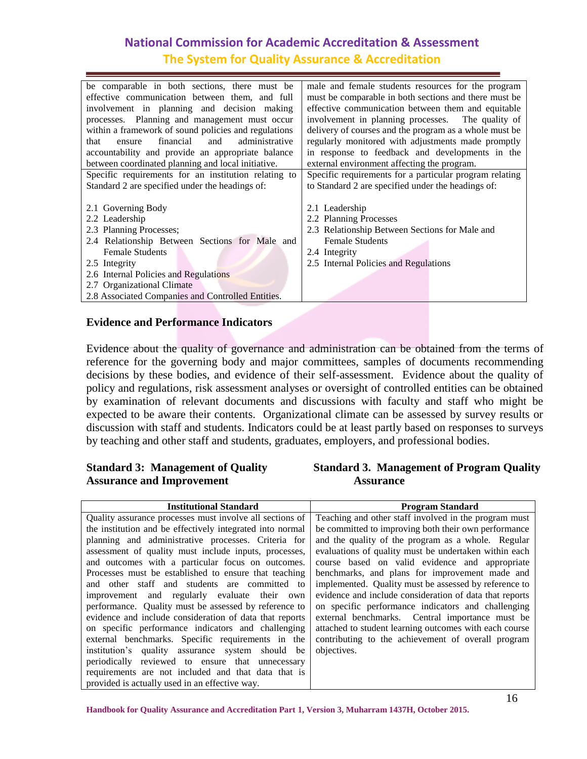| be comparable in both sections, there must be        | male and female students resources for the program      |  |  |  |  |
|------------------------------------------------------|---------------------------------------------------------|--|--|--|--|
| effective communication between them, and full       | must be comparable in both sections and there must be   |  |  |  |  |
| involvement in planning and decision making          | effective communication between them and equitable      |  |  |  |  |
| processes. Planning and management must occur        | involvement in planning processes. The quality of       |  |  |  |  |
| within a framework of sound policies and regulations | delivery of courses and the program as a whole must be  |  |  |  |  |
| administrative<br>financial<br>and<br>that<br>ensure | regularly monitored with adjustments made promptly      |  |  |  |  |
| accountability and provide an appropriate balance    | in response to feedback and developments in the         |  |  |  |  |
| between coordinated planning and local initiative.   | external environment affecting the program.             |  |  |  |  |
| Specific requirements for an institution relating to | Specific requirements for a particular program relating |  |  |  |  |
| Standard 2 are specified under the headings of:      | to Standard 2 are specified under the headings of:      |  |  |  |  |
|                                                      |                                                         |  |  |  |  |
| 2.1 Governing Body                                   | 2.1 Leadership                                          |  |  |  |  |
| 2.2 Leadership                                       | 2.2 Planning Processes                                  |  |  |  |  |
| 2.3 Planning Processes;                              | 2.3 Relationship Between Sections for Male and          |  |  |  |  |
| 2.4 Relationship Between Sections for Male and       | <b>Female Students</b>                                  |  |  |  |  |
| <b>Female Students</b>                               | 2.4 Integrity                                           |  |  |  |  |
| 2.5 Integrity                                        | 2.5 Internal Policies and Regulations                   |  |  |  |  |
| 2.6 Internal Policies and Regulations                |                                                         |  |  |  |  |
| 2.7 Organizational Climate                           |                                                         |  |  |  |  |
| 2.8 Associated Companies and Controlled Entities.    |                                                         |  |  |  |  |
|                                                      |                                                         |  |  |  |  |

#### **Evidence and Performance Indicators**

Evidence about the quality of governance and administration can be obtained from the terms of reference for the governing body and major committees, samples of documents recommending decisions by these bodies, and evidence of their self-assessment. Evidence about the quality of policy and regulations, risk assessment analyses or oversight of controlled entities can be obtained by examination of relevant documents and discussions with faculty and staff who might be expected to be aware their contents. Organizational climate can be assessed by survey results or discussion with staff and students. Indicators could be at least partly based on responses to surveys by teaching and other staff and students, graduates, employers, and professional bodies.

# Assurance and Improvement **Assurance**

# **Standard 3: Management of Quality Standard 3. Management of Program Quality**

| <b>Institutional Standard</b>                             | <b>Program Standard</b>                                 |
|-----------------------------------------------------------|---------------------------------------------------------|
| Quality assurance processes must involve all sections of  | Teaching and other staff involved in the program must   |
| the institution and be effectively integrated into normal | be committed to improving both their own performance    |
| planning and administrative processes. Criteria for       | and the quality of the program as a whole. Regular      |
| assessment of quality must include inputs, processes,     | evaluations of quality must be undertaken within each   |
| and outcomes with a particular focus on outcomes.         | course based on valid evidence and appropriate          |
| Processes must be established to ensure that teaching     | benchmarks, and plans for improvement made and          |
| and other staff and students are committed to             | implemented. Quality must be assessed by reference to   |
| improvement and regularly evaluate their own              | evidence and include consideration of data that reports |
| performance. Quality must be assessed by reference to     | on specific performance indicators and challenging      |
| evidence and include consideration of data that reports   | external benchmarks. Central importance must be         |
| on specific performance indicators and challenging        | attached to student learning outcomes with each course  |
| external benchmarks. Specific requirements in the         | contributing to the achievement of overall program      |
| institution's quality assurance system should be          | objectives.                                             |
| periodically reviewed to ensure that unnecessary          |                                                         |
| requirements are not included and that data that is       |                                                         |
| provided is actually used in an effective way.            |                                                         |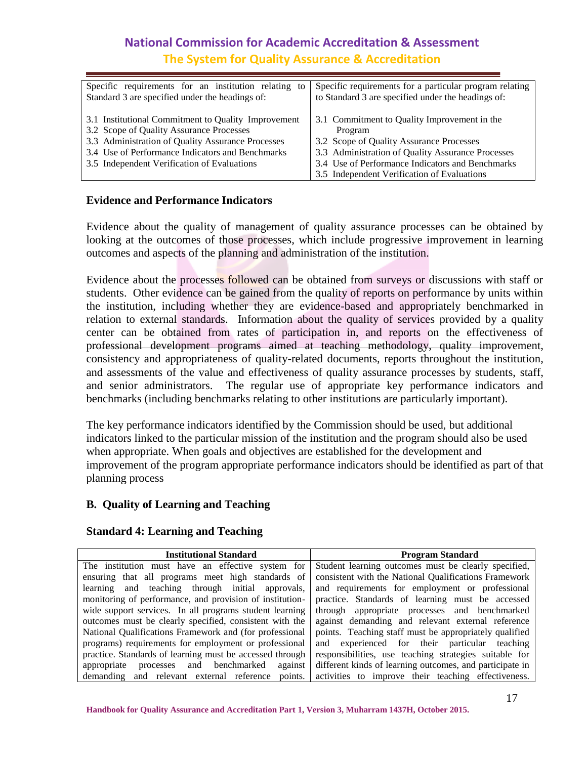| Specific requirements for an institution relating to                                                                                                                                                                                                    | Specific requirements for a particular program relating                                                                                                                                                                                                     |
|---------------------------------------------------------------------------------------------------------------------------------------------------------------------------------------------------------------------------------------------------------|-------------------------------------------------------------------------------------------------------------------------------------------------------------------------------------------------------------------------------------------------------------|
| Standard 3 are specified under the headings of:                                                                                                                                                                                                         | to Standard 3 are specified under the headings of:                                                                                                                                                                                                          |
| 3.1 Institutional Commitment to Quality Improvement<br>3.2 Scope of Quality Assurance Processes<br>3.3 Administration of Quality Assurance Processes<br>3.4 Use of Performance Indicators and Benchmarks<br>3.5 Independent Verification of Evaluations | 3.1 Commitment to Quality Improvement in the<br>Program<br>3.2 Scope of Quality Assurance Processes<br>3.3 Administration of Quality Assurance Processes<br>3.4 Use of Performance Indicators and Benchmarks<br>3.5 Independent Verification of Evaluations |

#### **Evidence and Performance Indicators**

Evidence about the quality of management of quality assurance processes can be obtained by looking at the outcomes of those processes, which include progressive improvement in learning outcomes and aspects of the planning and administration of the institution.

Evidence about the processes followed can be obtained from surveys or discussions with staff or students. Other evidence can be gained from the quality of reports on performance by units within the institution, including whether they are evidence-based and appropriately benchmarked in relation to external standards. Information about the quality of services provided by a quality center can be obtained from rates of participation in, and reports on the effectiveness of professional development programs aimed at teaching methodology, quality improvement, consistency and appropriateness of quality-related documents, reports throughout the institution, and assessments of the value and effectiveness of quality assurance processes by students, staff, and senior administrators. The regular use of appropriate key performance indicators and benchmarks (including benchmarks relating to other institutions are particularly important).

The key performance indicators identified by the Commission should be used, but additional indicators linked to the particular mission of the institution and the program should also be used when appropriate. When goals and objectives are established for the development and improvement of the program appropriate performance indicators should be identified as part of that planning process

#### **B. Quality of Learning and Teaching**

#### **Standard 4: Learning and Teaching**

| <b>Institutional Standard</b>                            | <b>Program Standard</b>                                  |  |  |  |  |  |
|----------------------------------------------------------|----------------------------------------------------------|--|--|--|--|--|
| The institution must have an effective system for        | Student learning outcomes must be clearly specified,     |  |  |  |  |  |
| ensuring that all programs meet high standards of        | consistent with the National Qualifications Framework    |  |  |  |  |  |
| learning and teaching through initial approvals,         | and requirements for employment or professional          |  |  |  |  |  |
| monitoring of performance, and provision of institution- | practice. Standards of learning must be accessed         |  |  |  |  |  |
| wide support services. In all programs student learning  | through appropriate processes and benchmarked            |  |  |  |  |  |
| outcomes must be clearly specified, consistent with the  | against demanding and relevant external reference        |  |  |  |  |  |
| National Qualifications Framework and (for professional  | points. Teaching staff must be appropriately qualified   |  |  |  |  |  |
| programs) requirements for employment or professional    | and experienced for their particular teaching            |  |  |  |  |  |
| practice. Standards of learning must be accessed through | responsibilities, use teaching strategies suitable for   |  |  |  |  |  |
| processes and benchmarked<br>appropriate<br>against      | different kinds of learning outcomes, and participate in |  |  |  |  |  |
| demanding and relevant external reference points.        | activities to improve their teaching effectiveness.      |  |  |  |  |  |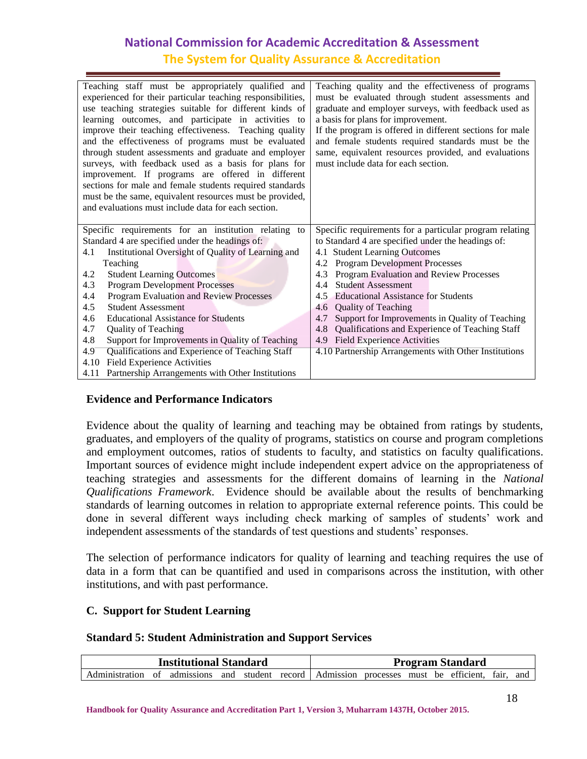| Teaching staff must be appropriately qualified and<br>experienced for their particular teaching responsibilities,<br>use teaching strategies suitable for different kinds of<br>learning outcomes, and participate in activities to<br>improve their teaching effectiveness. Teaching quality<br>and the effectiveness of programs must be evaluated<br>through student assessments and graduate and employer<br>surveys, with feedback used as a basis for plans for<br>improvement. If programs are offered in different<br>sections for male and female students required standards<br>must be the same, equivalent resources must be provided,<br>and evaluations must include data for each section. | Teaching quality and the effectiveness of programs<br>must be evaluated through student assessments and<br>graduate and employer surveys, with feedback used as<br>a basis for plans for improvement.<br>If the program is offered in different sections for male<br>and female students required standards must be the<br>same, equivalent resources provided, and evaluations<br>must include data for each section. |  |  |  |  |
|-----------------------------------------------------------------------------------------------------------------------------------------------------------------------------------------------------------------------------------------------------------------------------------------------------------------------------------------------------------------------------------------------------------------------------------------------------------------------------------------------------------------------------------------------------------------------------------------------------------------------------------------------------------------------------------------------------------|------------------------------------------------------------------------------------------------------------------------------------------------------------------------------------------------------------------------------------------------------------------------------------------------------------------------------------------------------------------------------------------------------------------------|--|--|--|--|
| Specific requirements for an institution relating to<br>Standard 4 are specified under the headings of:                                                                                                                                                                                                                                                                                                                                                                                                                                                                                                                                                                                                   | Specific requirements for a particular program relating<br>to Standard 4 are specified under the headings of:                                                                                                                                                                                                                                                                                                          |  |  |  |  |
| Institutional Oversight of Quality of Learning and<br>4.1                                                                                                                                                                                                                                                                                                                                                                                                                                                                                                                                                                                                                                                 | 4.1 Student Learning Outcomes                                                                                                                                                                                                                                                                                                                                                                                          |  |  |  |  |
| Teaching                                                                                                                                                                                                                                                                                                                                                                                                                                                                                                                                                                                                                                                                                                  | 4.2 Program Development Processes                                                                                                                                                                                                                                                                                                                                                                                      |  |  |  |  |
| <b>Student Learning Outcomes</b><br>4.2                                                                                                                                                                                                                                                                                                                                                                                                                                                                                                                                                                                                                                                                   | Program Evaluation and Review Processes<br>4.3                                                                                                                                                                                                                                                                                                                                                                         |  |  |  |  |
| <b>Program Development Processes</b><br>4.3                                                                                                                                                                                                                                                                                                                                                                                                                                                                                                                                                                                                                                                               | <b>Student Assessment</b><br>4.4                                                                                                                                                                                                                                                                                                                                                                                       |  |  |  |  |
| Program Evaluation and Review Processes<br>4.4                                                                                                                                                                                                                                                                                                                                                                                                                                                                                                                                                                                                                                                            | 4.5 Educational Assistance for Students                                                                                                                                                                                                                                                                                                                                                                                |  |  |  |  |
| <b>Student Assessment</b><br>4.5                                                                                                                                                                                                                                                                                                                                                                                                                                                                                                                                                                                                                                                                          | <b>Quality of Teaching</b><br>4.6                                                                                                                                                                                                                                                                                                                                                                                      |  |  |  |  |
| 4.6<br><b>Educational Assistance for Students</b>                                                                                                                                                                                                                                                                                                                                                                                                                                                                                                                                                                                                                                                         | Support for Improvements in Quality of Teaching<br>4.7                                                                                                                                                                                                                                                                                                                                                                 |  |  |  |  |
| 4.7<br>Quality of Teaching                                                                                                                                                                                                                                                                                                                                                                                                                                                                                                                                                                                                                                                                                | Qualifications and Experience of Teaching Staff<br>4.8                                                                                                                                                                                                                                                                                                                                                                 |  |  |  |  |
| 4.8<br>Support for Improvements in Quality of Teaching                                                                                                                                                                                                                                                                                                                                                                                                                                                                                                                                                                                                                                                    | 4.9 Field Experience Activities                                                                                                                                                                                                                                                                                                                                                                                        |  |  |  |  |
| Qualifications and Experience of Teaching Staff<br>4.9                                                                                                                                                                                                                                                                                                                                                                                                                                                                                                                                                                                                                                                    | 4.10 Partnership Arrangements with Other Institutions                                                                                                                                                                                                                                                                                                                                                                  |  |  |  |  |
| <b>Field Experience Activities</b><br>4.10                                                                                                                                                                                                                                                                                                                                                                                                                                                                                                                                                                                                                                                                |                                                                                                                                                                                                                                                                                                                                                                                                                        |  |  |  |  |
| Partnership Arrangements with Other Institutions<br>4.11                                                                                                                                                                                                                                                                                                                                                                                                                                                                                                                                                                                                                                                  |                                                                                                                                                                                                                                                                                                                                                                                                                        |  |  |  |  |

#### **Evidence and Performance Indicators**

Evidence about the quality of learning and teaching may be obtained from ratings by students, graduates, and employers of the quality of programs, statistics on course and program completions and employment outcomes, ratios of students to faculty, and statistics on faculty qualifications. Important sources of evidence might include independent expert advice on the appropriateness of teaching strategies and assessments for the different domains of learning in the *National Qualifications Framework*. Evidence should be available about the results of benchmarking standards of learning outcomes in relation to appropriate external reference points. This could be done in several different ways including check marking of samples of students' work and independent assessments of the standards of test questions and students' responses.

The selection of performance indicators for quality of learning and teaching requires the use of data in a form that can be quantified and used in comparisons across the institution, with other institutions, and with past performance.

#### **C. Support for Student Learning**

#### **Standard 5: Student Administration and Support Services**

| <b>Institutional Standard</b>                                                                    |  |  |  |  | <b>Program Standard</b> |  |  |  |  |  |  |  |
|--------------------------------------------------------------------------------------------------|--|--|--|--|-------------------------|--|--|--|--|--|--|--|
| Administration of admissions and student record Admission processes must be efficient, fair, and |  |  |  |  |                         |  |  |  |  |  |  |  |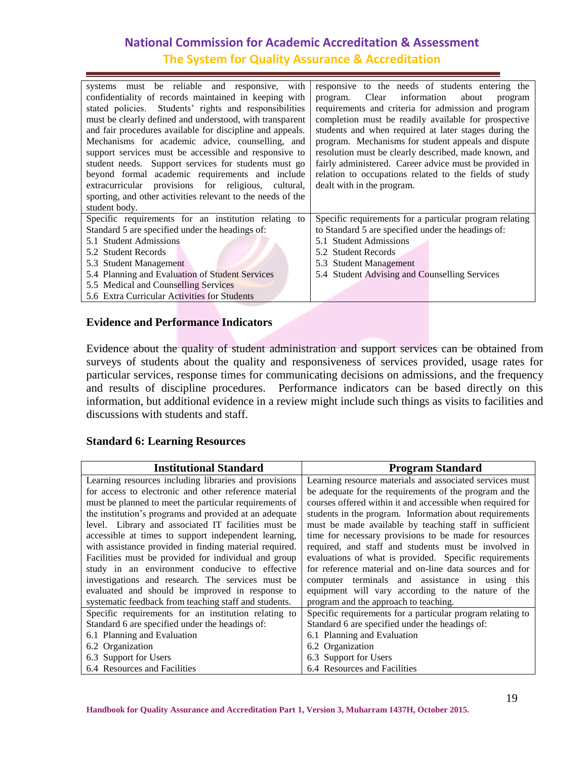| systems must be reliable and responsive, with<br>confidentiality of records maintained in keeping with<br>stated policies. Students' rights and responsibilities<br>must be clearly defined and understood, with transparent<br>and fair procedures available for discipline and appeals.<br>Mechanisms for academic advice, counselling, and<br>support services must be accessible and responsive to<br>student needs. Support services for students must go<br>beyond formal academic requirements and include<br>extracurricular provisions for religious, cultural,<br>sporting, and other activities relevant to the needs of the<br>student body. | responsive to the needs of students entering the<br>Clear information about<br>program.<br>program<br>requirements and criteria for admission and program<br>completion must be readily available for prospective<br>students and when required at later stages during the<br>program. Mechanisms for student appeals and dispute<br>resolution must be clearly described, made known, and<br>fairly administered. Career advice must be provided in<br>relation to occupations related to the fields of study<br>dealt with in the program. |
|----------------------------------------------------------------------------------------------------------------------------------------------------------------------------------------------------------------------------------------------------------------------------------------------------------------------------------------------------------------------------------------------------------------------------------------------------------------------------------------------------------------------------------------------------------------------------------------------------------------------------------------------------------|----------------------------------------------------------------------------------------------------------------------------------------------------------------------------------------------------------------------------------------------------------------------------------------------------------------------------------------------------------------------------------------------------------------------------------------------------------------------------------------------------------------------------------------------|
| Specific requirements for an institution relating to                                                                                                                                                                                                                                                                                                                                                                                                                                                                                                                                                                                                     | Specific requirements for a particular program relating                                                                                                                                                                                                                                                                                                                                                                                                                                                                                      |
| Standard 5 are specified under the headings of:                                                                                                                                                                                                                                                                                                                                                                                                                                                                                                                                                                                                          | to Standard 5 are specified under the headings of:                                                                                                                                                                                                                                                                                                                                                                                                                                                                                           |
| 5.1 Student Admissions                                                                                                                                                                                                                                                                                                                                                                                                                                                                                                                                                                                                                                   | 5.1 Student Admissions                                                                                                                                                                                                                                                                                                                                                                                                                                                                                                                       |
| 5.2 Student Records                                                                                                                                                                                                                                                                                                                                                                                                                                                                                                                                                                                                                                      | 5.2 Student Records                                                                                                                                                                                                                                                                                                                                                                                                                                                                                                                          |
| 5.3 Student Management                                                                                                                                                                                                                                                                                                                                                                                                                                                                                                                                                                                                                                   | 5.3 Student Management                                                                                                                                                                                                                                                                                                                                                                                                                                                                                                                       |
| 5.4 Planning and Evaluation of Student Services                                                                                                                                                                                                                                                                                                                                                                                                                                                                                                                                                                                                          | 5.4 Student Advising and Counselling Services                                                                                                                                                                                                                                                                                                                                                                                                                                                                                                |
| 5.5 Medical and Counselling Services                                                                                                                                                                                                                                                                                                                                                                                                                                                                                                                                                                                                                     |                                                                                                                                                                                                                                                                                                                                                                                                                                                                                                                                              |
| 5.6 Extra Curricular Activities for Students                                                                                                                                                                                                                                                                                                                                                                                                                                                                                                                                                                                                             |                                                                                                                                                                                                                                                                                                                                                                                                                                                                                                                                              |

#### **Evidence and Performance Indicators**

Evidence about the quality of student administration and support services can be obtained from surveys of students about the quality and responsiveness of services provided, usage rates for particular services, response times for communicating decisions on admissions, and the frequency and results of discipline procedures. Performance indicators can be based directly on this information, but additional evidence in a review might include such things as visits to facilities and discussions with students and staff.

#### **Standard 6: Learning Resources**

| <b>Institutional Standard</b>                          | <b>Program Standard</b>                                    |
|--------------------------------------------------------|------------------------------------------------------------|
| Learning resources including libraries and provisions  | Learning resource materials and associated services must   |
| for access to electronic and other reference material  | be adequate for the requirements of the program and the    |
| must be planned to meet the particular requirements of | courses offered within it and accessible when required for |
| the institution's programs and provided at an adequate | students in the program. Information about requirements    |
| level. Library and associated IT facilities must be    | must be made available by teaching staff in sufficient     |
| accessible at times to support independent learning,   | time for necessary provisions to be made for resources     |
| with assistance provided in finding material required. | required, and staff and students must be involved in       |
| Facilities must be provided for individual and group   | evaluations of what is provided. Specific requirements     |
| study in an environment conducive to effective         | for reference material and on-line data sources and for    |
| investigations and research. The services must be      | computer terminals and assistance in using this            |
| evaluated and should be improved in response to        | equipment will vary according to the nature of the         |
| systematic feedback from teaching staff and students.  | program and the approach to teaching.                      |
| Specific requirements for an institution relating to   | Specific requirements for a particular program relating to |
| Standard 6 are specified under the headings of:        | Standard 6 are specified under the headings of:            |
| 6.1 Planning and Evaluation                            | 6.1 Planning and Evaluation                                |
| 6.2 Organization                                       | 6.2 Organization                                           |
| 6.3 Support for Users                                  | 6.3 Support for Users                                      |
| 6.4 Resources and Facilities                           | 6.4 Resources and Facilities                               |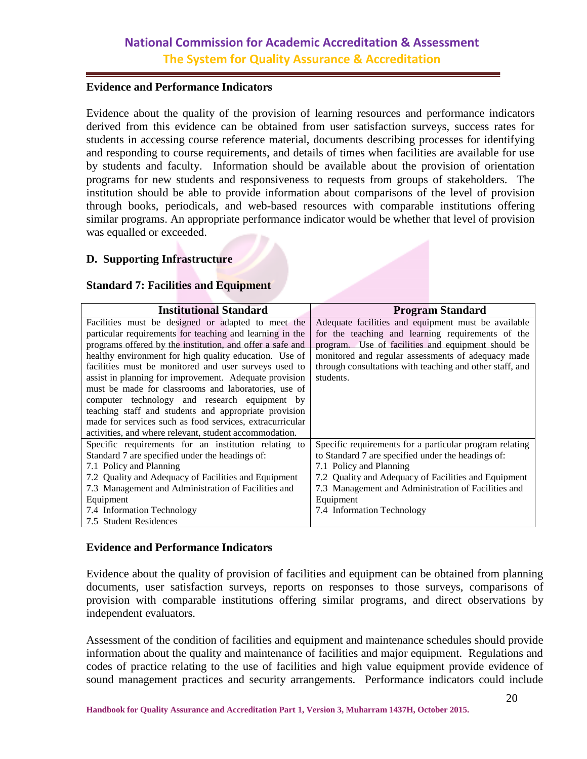#### **Evidence and Performance Indicators**

Evidence about the quality of the provision of learning resources and performance indicators derived from this evidence can be obtained from user satisfaction surveys, success rates for students in accessing course reference material, documents describing processes for identifying and responding to course requirements, and details of times when facilities are available for use by students and faculty. Information should be available about the provision of orientation programs for new students and responsiveness to requests from groups of stakeholders. The institution should be able to provide information about comparisons of the level of provision through books, periodicals, and web-based resources with comparable institutions offering similar programs. An appropriate performance indicator would be whether that level of provision was equalled or exceeded.

#### **D. Supporting Infrastructure**

#### **Standard 7: Facilities and Equipment**

| <b>Institutional Standard</b>                             | <b>Program Standard</b>                                  |
|-----------------------------------------------------------|----------------------------------------------------------|
| Facilities must be designed or adapted to meet the        | Adequate facilities and equipment must be available      |
| particular requirements for teaching and learning in the  | for the teaching and learning requirements of the        |
| programs offered by the institution, and offer a safe and | program. Use of facilities and equipment should be       |
| healthy environment for high quality education. Use of    | monitored and regular assessments of adequacy made       |
| facilities must be monitored and user surveys used to     | through consultations with teaching and other staff, and |
| assist in planning for improvement. Adequate provision    | students.                                                |
| must be made for classrooms and laboratories, use of      |                                                          |
| computer technology and research equipment by             |                                                          |
| teaching staff and students and appropriate provision     |                                                          |
| made for services such as food services, extracurricular  |                                                          |
| activities, and where relevant, student accommodation.    |                                                          |
| Specific requirements for an institution relating to      | Specific requirements for a particular program relating  |
| Standard 7 are specified under the headings of:           | to Standard 7 are specified under the headings of:       |
| 7.1 Policy and Planning                                   | 7.1 Policy and Planning                                  |
| 7.2 Quality and Adequacy of Facilities and Equipment      | 7.2 Quality and Adequacy of Facilities and Equipment     |
| 7.3 Management and Administration of Facilities and       | 7.3 Management and Administration of Facilities and      |
| Equipment                                                 | Equipment                                                |
| 7.4 Information Technology                                | 7.4 Information Technology                               |
| 7.5 Student Residences                                    |                                                          |

#### **Evidence and Performance Indicators**

Evidence about the quality of provision of facilities and equipment can be obtained from planning documents, user satisfaction surveys, reports on responses to those surveys, comparisons of provision with comparable institutions offering similar programs, and direct observations by independent evaluators.

Assessment of the condition of facilities and equipment and maintenance schedules should provide information about the quality and maintenance of facilities and major equipment. Regulations and codes of practice relating to the use of facilities and high value equipment provide evidence of sound management practices and security arrangements. Performance indicators could include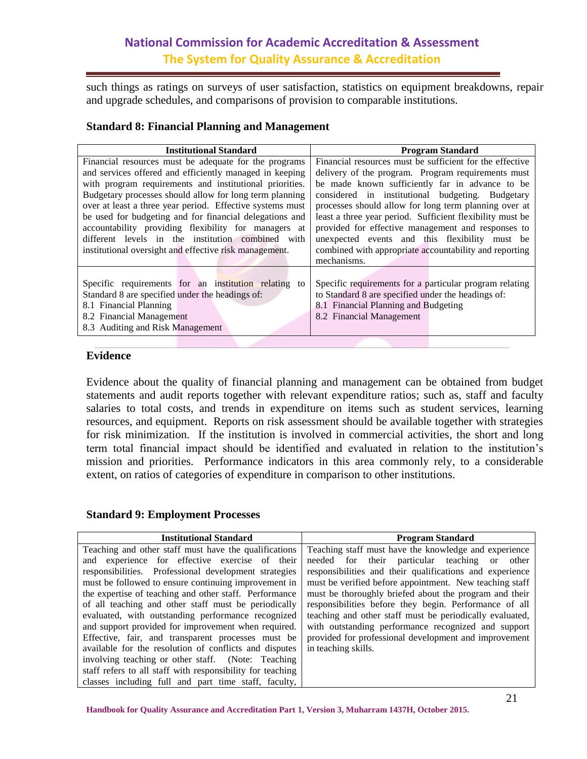such things as ratings on surveys of user satisfaction, statistics on equipment breakdowns, repair and upgrade schedules, and comparisons of provision to comparable institutions.

#### **Standard 8: Financial Planning and Management**

| <b>Institutional Standard</b>                             | <b>Program Standard</b>                                   |
|-----------------------------------------------------------|-----------------------------------------------------------|
| Financial resources must be adequate for the programs     | Financial resources must be sufficient for the effective  |
| and services offered and efficiently managed in keeping   | delivery of the program. Program requirements must        |
| with program requirements and institutional priorities.   | be made known sufficiently far in advance to be           |
| Budgetary processes should allow for long term planning   | considered in institutional budgeting. Budgetary          |
| over at least a three year period. Effective systems must | processes should allow for long term planning over at     |
| be used for budgeting and for financial delegations and   | least a three year period. Sufficient flexibility must be |
| accountability providing flexibility for managers at      | provided for effective management and responses to        |
| different levels in the institution combined<br>with      | unexpected events and this flexibility must be            |
| institutional oversight and effective risk management.    | combined with appropriate accountability and reporting    |
|                                                           | mechanisms.                                               |
|                                                           |                                                           |
| Specific requirements for an institution relating<br>to   | Specific requirements for a particular program relating   |
| Standard 8 are specified under the headings of:           | to Standard 8 are specified under the headings of:        |
| 8.1 Financial Planning                                    | 8.1 Financial Planning and Budgeting                      |
| 8.2 Financial Management                                  | 8.2 Financial Management                                  |
| 8.3 Auditing and Risk Management                          |                                                           |
|                                                           |                                                           |

#### **Evidence**

Evidence about the quality of financial planning and management can be obtained from budget statements and audit reports together with relevant expenditure ratios; such as, staff and faculty salaries to total costs, and trends in expenditure on items such as student services, learning resources, and equipment. Reports on risk assessment should be available together with strategies for risk minimization. If the institution is involved in commercial activities, the short and long term total financial impact should be identified and evaluated in relation to the institution's mission and priorities. Performance indicators in this area commonly rely, to a considerable extent, on ratios of categories of expenditure in comparison to other institutions.

#### **Standard 9: Employment Processes**

| <b>Institutional Standard</b>                              | <b>Program Standard</b>                                  |
|------------------------------------------------------------|----------------------------------------------------------|
| Teaching and other staff must have the qualifications      | Teaching staff must have the knowledge and experience    |
| and experience for effective exercise of their             | needed for their particular teaching or<br>other         |
| responsibilities. Professional development strategies      | responsibilities and their qualifications and experience |
| must be followed to ensure continuing improvement in       | must be verified before appointment. New teaching staff  |
| the expertise of teaching and other staff. Performance     | must be thoroughly briefed about the program and their   |
| of all teaching and other staff must be periodically       | responsibilities before they begin. Performance of all   |
| evaluated, with outstanding performance recognized         | teaching and other staff must be periodically evaluated, |
| and support provided for improvement when required.        | with outstanding performance recognized and support      |
| Effective, fair, and transparent processes must be         | provided for professional development and improvement    |
| available for the resolution of conflicts and disputes     | in teaching skills.                                      |
| involving teaching or other staff. (Note: Teaching         |                                                          |
| staff refers to all staff with responsibility for teaching |                                                          |
| classes including full and part time staff, faculty,       |                                                          |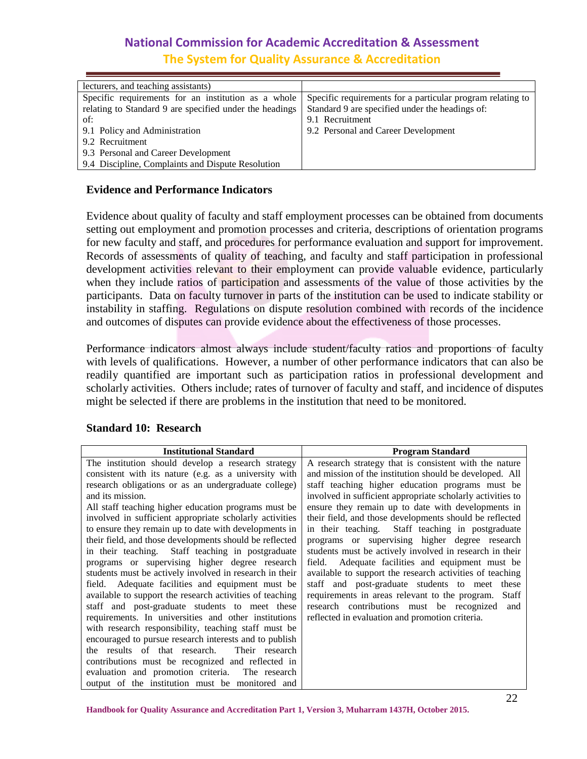| lecturers, and teaching assistants)                     |                                                            |
|---------------------------------------------------------|------------------------------------------------------------|
| Specific requirements for an institution as a whole     | Specific requirements for a particular program relating to |
| relating to Standard 9 are specified under the headings | Standard 9 are specified under the headings of:            |
| of:                                                     | 9.1 Recruitment                                            |
| 9.1 Policy and Administration                           | 9.2 Personal and Career Development                        |
| 9.2 Recruitment                                         |                                                            |
| 9.3 Personal and Career Development                     |                                                            |
| 9.4 Discipline, Complaints and Dispute Resolution       |                                                            |
|                                                         |                                                            |

#### **Evidence and Performance Indicators**

Evidence about quality of faculty and staff employment processes can be obtained from documents setting out employment and promotion processes and criteria, descriptions of orientation programs for new faculty and staff, and procedures for performance evaluation and support for improvement. Records of assessments of quality of teaching, and faculty and staff participation in professional development activities relevant to their employment can provide valuable evidence, particularly when they include ratios of participation and assessments of the value of those activities by the participants. Data on faculty turnover in parts of the institution can be used to indicate stability or instability in staffing. Regulations on dispute resolution combined with records of the incidence and outcomes of disputes can provide evidence about the effectiveness of those processes.

Performance indicators almost always include student/faculty ratios and proportions of faculty with levels of qualifications. However, a number of other performance indicators that can also be readily quantified are important such as participation ratios in professional development and scholarly activities. Others include; rates of turnover of faculty and staff, and incidence of disputes might be selected if there are problems in the institution that need to be monitored.

| <b>Institutional Standard</b>                            | <b>Program Standard</b>                                    |
|----------------------------------------------------------|------------------------------------------------------------|
| The institution should develop a research strategy       | A research strategy that is consistent with the nature     |
| consistent with its nature (e.g. as a university with    | and mission of the institution should be developed. All    |
| research obligations or as an undergraduate college)     | staff teaching higher education programs must be           |
| and its mission.                                         | involved in sufficient appropriate scholarly activities to |
| All staff teaching higher education programs must be     | ensure they remain up to date with developments in         |
| involved in sufficient appropriate scholarly activities  | their field, and those developments should be reflected    |
| to ensure they remain up to date with developments in    | in their teaching. Staff teaching in postgraduate          |
| their field, and those developments should be reflected  | programs or supervising higher degree research             |
| in their teaching. Staff teaching in postgraduate        | students must be actively involved in research in their    |
| programs or supervising higher degree research           | field. Adequate facilities and equipment must be           |
| students must be actively involved in research in their  | available to support the research activities of teaching   |
| field. Adequate facilities and equipment must be         | staff and post-graduate students to meet these             |
| available to support the research activities of teaching | requirements in areas relevant to the program.<br>Staff    |
| staff and post-graduate students to meet these           | research contributions must be recognized<br>and           |
| requirements. In universities and other institutions     | reflected in evaluation and promotion criteria.            |
| with research responsibility, teaching staff must be     |                                                            |
| encouraged to pursue research interests and to publish   |                                                            |
| the results of that research.<br>Their research          |                                                            |
| contributions must be recognized and reflected in        |                                                            |
| evaluation and promotion criteria. The research          |                                                            |
| output of the institution must be monitored and          |                                                            |

#### **Standard 10: Research**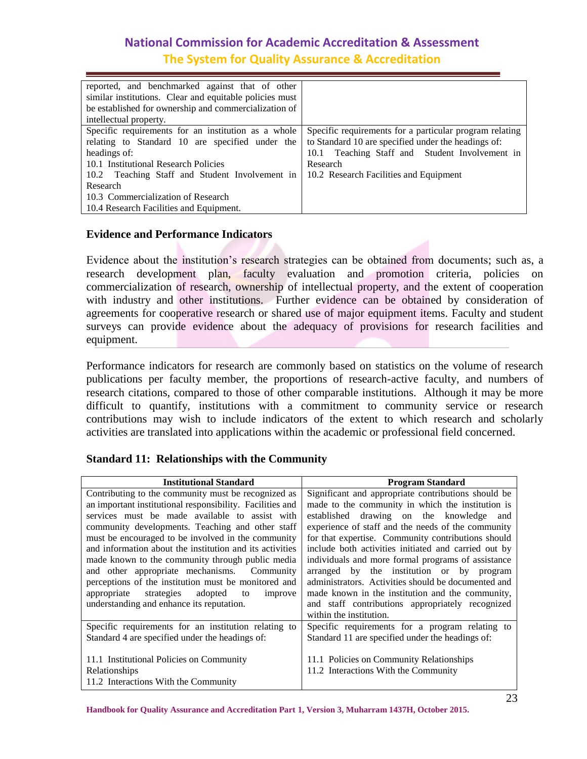| reported, and benchmarked against that of other         |                                                         |
|---------------------------------------------------------|---------------------------------------------------------|
| similar institutions. Clear and equitable policies must |                                                         |
| be established for ownership and commercialization of   |                                                         |
| intellectual property.                                  |                                                         |
| Specific requirements for an institution as a whole     | Specific requirements for a particular program relating |
| relating to Standard 10 are specified under the         | to Standard 10 are specified under the headings of:     |
| headings of:                                            | 10.1 Teaching Staff and Student Involvement in          |
| 10.1 Institutional Research Policies                    | Research                                                |
| 10.2 Teaching Staff and Student Involvement in          | 10.2 Research Facilities and Equipment                  |
| Research                                                |                                                         |
| 10.3 Commercialization of Research                      |                                                         |
| 10.4 Research Facilities and Equipment.                 |                                                         |

#### **Evidence and Performance Indicators**

Evidence about the institution's research strategies can be obtained from documents; such as, a research development plan, faculty evaluation and promotion criteria, policies on commercialization of research, ownership of intellectual property, and the extent of cooperation with industry and other institutions. Further evidence can be obtained by consideration of agreements for cooperative research or shared use of major equipment items. Faculty and student surveys can provide evidence about the adequacy of provisions for research facilities and equipment.

Performance indicators for research are commonly based on statistics on the volume of research publications per faculty member, the proportions of research-active faculty, and numbers of research citations, compared to those of other comparable institutions. Although it may be more difficult to quantify, institutions with a commitment to community service or research contributions may wish to include indicators of the extent to which research and scholarly activities are translated into applications within the academic or professional field concerned.

#### **Standard 11: Relationships with the Community**

| <b>Institutional Standard</b>                             | <b>Program Standard</b>                              |
|-----------------------------------------------------------|------------------------------------------------------|
| Contributing to the community must be recognized as       | Significant and appropriate contributions should be  |
| an important institutional responsibility. Facilities and | made to the community in which the institution is    |
| services must be made available to assist with            | established drawing on the knowledge<br>and          |
| community developments. Teaching and other staff          | experience of staff and the needs of the community   |
| must be encouraged to be involved in the community        | for that expertise. Community contributions should   |
| and information about the institution and its activities  | include both activities initiated and carried out by |
| made known to the community through public media          | individuals and more formal programs of assistance   |
| and other appropriate mechanisms. Community               | arranged by the institution or by program            |
| perceptions of the institution must be monitored and      | administrators. Activities should be documented and  |
| adopted<br>appropriate<br>strategies<br>to<br>improve     | made known in the institution and the community,     |
| understanding and enhance its reputation.                 | and staff contributions appropriately recognized     |
|                                                           | within the institution.                              |
| Specific requirements for an institution relating to      | Specific requirements for a program relating to      |
| Standard 4 are specified under the headings of:           | Standard 11 are specified under the headings of:     |
|                                                           |                                                      |
| 11.1 Institutional Policies on Community                  | 11.1 Policies on Community Relationships             |
| Relationships                                             | 11.2 Interactions With the Community                 |
| 11.2 Interactions With the Community                      |                                                      |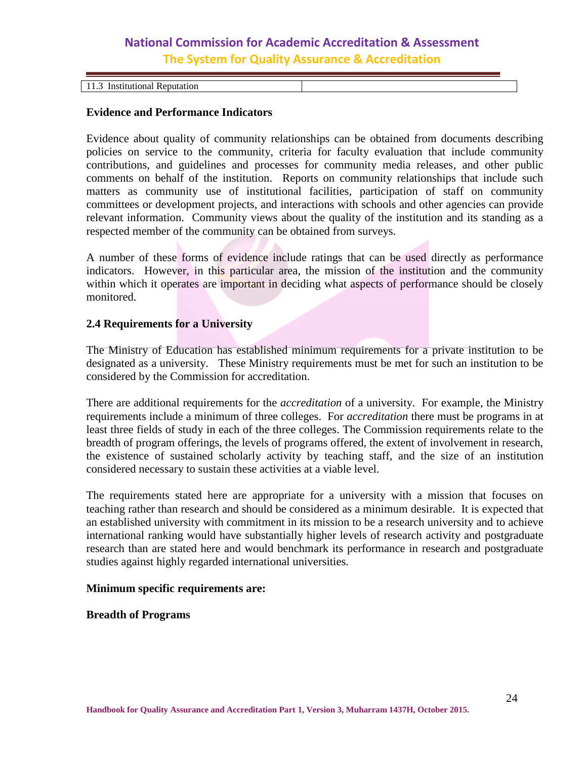| Institutional<br>Reputation<br>.<br>. |  |
|---------------------------------------|--|

#### **Evidence and Performance Indicators**

Evidence about quality of community relationships can be obtained from documents describing policies on service to the community, criteria for faculty evaluation that include community contributions, and guidelines and processes for community media releases, and other public comments on behalf of the institution. Reports on community relationships that include such matters as community use of institutional facilities, participation of staff on community committees or development projects, and interactions with schools and other agencies can provide relevant information. Community views about the quality of the institution and its standing as a respected member of the community can be obtained from surveys.

A number of these forms of evidence include ratings that can be used directly as performance indicators. However, in this particular area, the mission of the institution and the community within which it operates are important in deciding what aspects of performance should be closely monitored.

#### <span id="page-23-0"></span>**2.4 Requirements for a University**

The Ministry of Education has established minimum requirements for a private institution to be designated as a university. These Ministry requirements must be met for such an institution to be considered by the Commission for accreditation.

There are additional requirements for the *accreditation* of a university. For example, the Ministry requirements include a minimum of three colleges. For *accreditation* there must be programs in at least three fields of study in each of the three colleges. The Commission requirements relate to the breadth of program offerings, the levels of programs offered, the extent of involvement in research, the existence of sustained scholarly activity by teaching staff, and the size of an institution considered necessary to sustain these activities at a viable level.

The requirements stated here are appropriate for a university with a mission that focuses on teaching rather than research and should be considered as a minimum desirable. It is expected that an established university with commitment in its mission to be a research university and to achieve international ranking would have substantially higher levels of research activity and postgraduate research than are stated here and would benchmark its performance in research and postgraduate studies against highly regarded international universities.

#### **Minimum specific requirements are:**

**Breadth of Programs**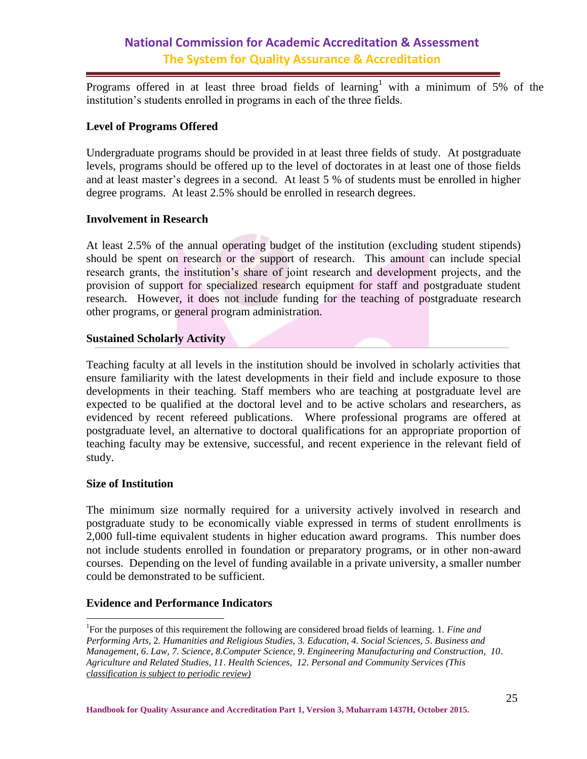Programs offered in at least three broad fields of learning<sup>1</sup> with a minimum of 5% of the institution's students enrolled in programs in each of the three fields.

#### **Level of Programs Offered**

Undergraduate programs should be provided in at least three fields of study. At postgraduate levels, programs should be offered up to the level of doctorates in at least one of those fields and at least master's degrees in a second. At least 5 % of students must be enrolled in higher degree programs. At least 2.5% should be enrolled in research degrees.

#### **Involvement in Research**

At least 2.5% of the annual operating budget of the institution (excluding student stipends) should be spent on research or the support of research. This amount can include special research grants, the institution's share of joint research and development projects, and the provision of support for specialized research equipment for staff and postgraduate student research. However, it does not include funding for the teaching of postgraduate research other programs, or general program administration.

#### **Sustained Scholarly Activity**

Teaching faculty at all levels in the institution should be involved in scholarly activities that ensure familiarity with the latest developments in their field and include exposure to those developments in their teaching. Staff members who are teaching at postgraduate level are expected to be qualified at the doctoral level and to be active scholars and researchers, as evidenced by recent refereed publications. Where professional programs are offered at postgraduate level, an alternative to doctoral qualifications for an appropriate proportion of teaching faculty may be extensive, successful, and recent experience in the relevant field of study.

#### **Size of Institution**

 $\overline{a}$ 

The minimum size normally required for a university actively involved in research and postgraduate study to be economically viable expressed in terms of student enrollments is 2,000 full-time equivalent students in higher education award programs. This number does not include students enrolled in foundation or preparatory programs, or in other non-award courses. Depending on the level of funding available in a private university, a smaller number could be demonstrated to be sufficient.

#### **Evidence and Performance Indicators**

<sup>1</sup> For the purposes of this requirement the following are considered broad fields of learning*.* 1*. Fine and Performing Arts,* 2*. Humanities and Religious Studies,* 3*. Education, 4. Social Sciences, 5*. *Business and Management, 6*. *Law, 7. Science, 8.Computer Science, 9*. *Engineering Manufacturing and Construction, 10*. *Agriculture and Related Studies, 11*. *Health Sciences, 12*. *Personal and Community Services (This classification is subject to periodic review)*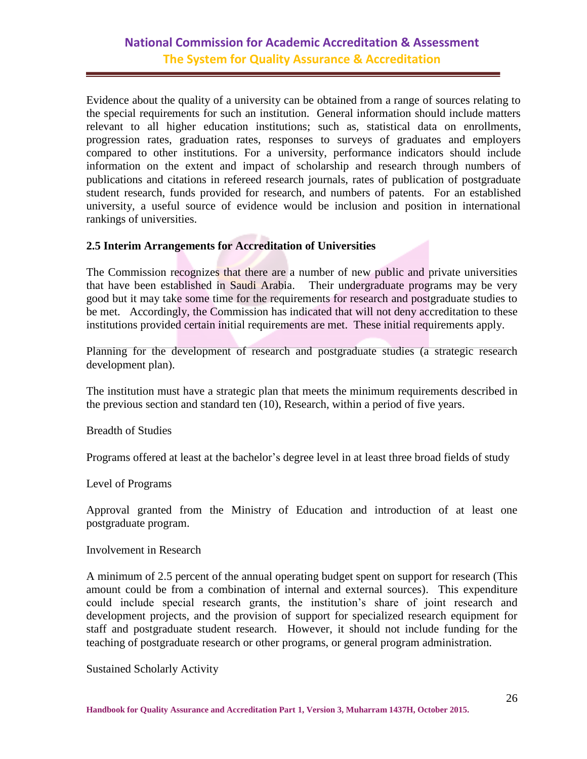Evidence about the quality of a university can be obtained from a range of sources relating to the special requirements for such an institution. General information should include matters relevant to all higher education institutions; such as, statistical data on enrollments, progression rates, graduation rates, responses to surveys of graduates and employers compared to other institutions. For a university, performance indicators should include information on the extent and impact of scholarship and research through numbers of publications and citations in refereed research journals, rates of publication of postgraduate student research, funds provided for research, and numbers of patents. For an established university, a useful source of evidence would be inclusion and position in international rankings of universities.

#### <span id="page-25-0"></span>**2.5 Interim Arrangements for Accreditation of Universities**

The Commission recognizes that there are a number of new public and private universities that have been established in Saudi Arabia. Their undergraduate programs may be very good but it may take some time for the requirements for research and postgraduate studies to be met. Accordingly, the Commission has indicated that will not deny accreditation to these institutions provided certain initial requirements are met. These initial requirements apply.

Planning for the development of research and postgraduate studies (a strategic research development plan).

The institution must have a strategic plan that meets the minimum requirements described in the previous section and standard ten (10), Research, within a period of five years.

Breadth of Studies

Programs offered at least at the bachelor's degree level in at least three broad fields of study

Level of Programs

Approval granted from the Ministry of Education and introduction of at least one postgraduate program.

#### Involvement in Research

A minimum of 2.5 percent of the annual operating budget spent on support for research (This amount could be from a combination of internal and external sources). This expenditure could include special research grants, the institution's share of joint research and development projects, and the provision of support for specialized research equipment for staff and postgraduate student research. However, it should not include funding for the teaching of postgraduate research or other programs, or general program administration.

Sustained Scholarly Activity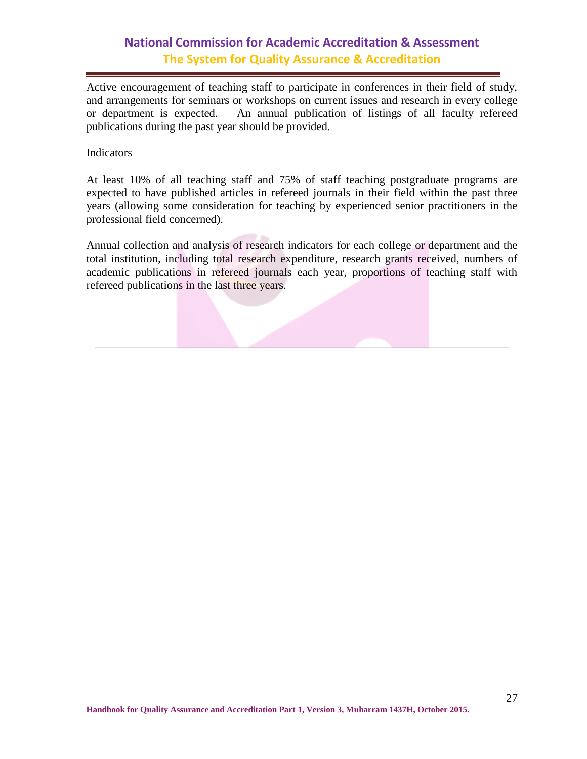Active encouragement of teaching staff to participate in conferences in their field of study, and arrangements for seminars or workshops on current issues and research in every college or department is expected. An annual publication of listings of all faculty refereed publications during the past year should be provided.

#### Indicators

At least 10% of all teaching staff and 75% of staff teaching postgraduate programs are expected to have published articles in refereed journals in their field within the past three years (allowing some consideration for teaching by experienced senior practitioners in the professional field concerned).

Annual collection and analysis of research indicators for each college or department and the total institution, including total research expenditure, research grants received, numbers of academic publications in refereed journals each year, proportions of teaching staff with refereed publications in the last three years.

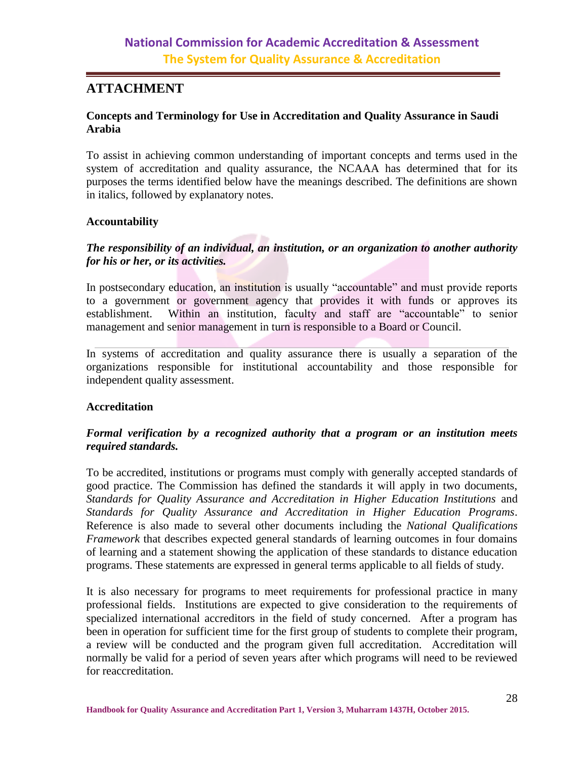### <span id="page-27-0"></span>**ATTACHMENT**

#### <span id="page-27-1"></span>**Concepts and Terminology for Use in Accreditation and Quality Assurance in Saudi Arabia**

To assist in achieving common understanding of important concepts and terms used in the system of accreditation and quality assurance, the NCAAA has determined that for its purposes the terms identified below have the meanings described. The definitions are shown in italics, followed by explanatory notes.

#### **Accountability**

### *The responsibility of an individual, an institution, or an organization to another authority for his or her, or its activities.*

In postsecondary education, an institution is usually "accountable" and must provide reports to a government or government agency that provides it with funds or approves its establishment. Within an institution, faculty and staff are "accountable" to senior management and senior management in turn is responsible to a Board or Council.

In systems of accreditation and quality assurance there is usually a separation of the organizations responsible for institutional accountability and those responsible for independent quality assessment.

#### **Accreditation**

#### *Formal verification by a recognized authority that a program or an institution meets required standards.*

To be accredited, institutions or programs must comply with generally accepted standards of good practice. The Commission has defined the standards it will apply in two documents, *Standards for Quality Assurance and Accreditation in Higher Education Institutions* and *Standards for Quality Assurance and Accreditation in Higher Education Programs*. Reference is also made to several other documents including the *National Qualifications Framework* that describes expected general standards of learning outcomes in four domains of learning and a statement showing the application of these standards to distance education programs. These statements are expressed in general terms applicable to all fields of study.

It is also necessary for programs to meet requirements for professional practice in many professional fields. Institutions are expected to give consideration to the requirements of specialized international accreditors in the field of study concerned. After a program has been in operation for sufficient time for the first group of students to complete their program, a review will be conducted and the program given full accreditation. Accreditation will normally be valid for a period of seven years after which programs will need to be reviewed for reaccreditation.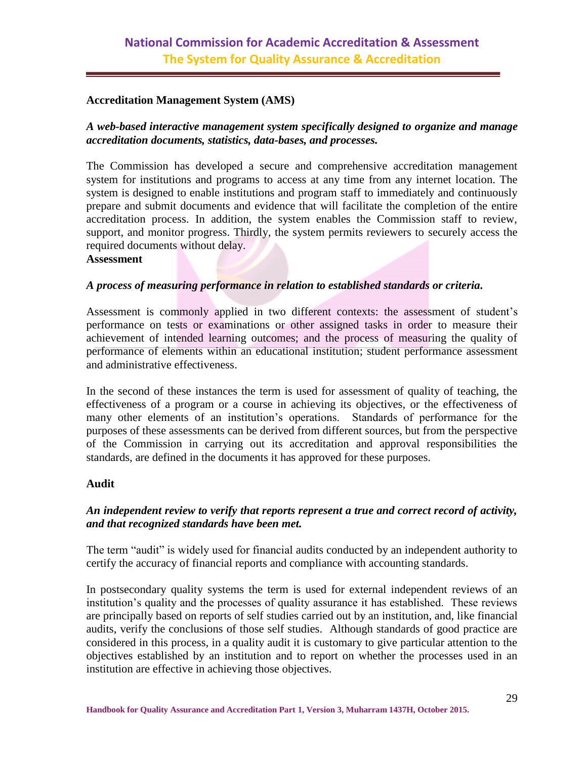#### **Accreditation Management System (AMS)**

#### *A web-based interactive management system specifically designed to organize and manage accreditation documents, statistics, data-bases, and processes.*

The Commission has developed a secure and comprehensive accreditation management system for institutions and programs to access at any time from any internet location. The system is designed to enable institutions and program staff to immediately and continuously prepare and submit documents and evidence that will facilitate the completion of the entire accreditation process. In addition, the system enables the Commission staff to review, support, and monitor progress. Thirdly, the system permits reviewers to securely access the required documents without delay.

#### **Assessment**

#### *A process of measuring performance in relation to established standards or criteria.*

Assessment is commonly applied in two different contexts: the assessment of student's performance on tests or examinations or other assigned tasks in order to measure their achievement of intended learning outcomes; and the process of measuring the quality of performance of elements within an educational institution; student performance assessment and administrative effectiveness.

In the second of these instances the term is used for assessment of quality of teaching, the effectiveness of a program or a course in achieving its objectives, or the effectiveness of many other elements of an institution's operations. Standards of performance for the purposes of these assessments can be derived from different sources, but from the perspective of the Commission in carrying out its accreditation and approval responsibilities the standards, are defined in the documents it has approved for these purposes.

#### **Audit**

#### *An independent review to verify that reports represent a true and correct record of activity, and that recognized standards have been met.*

The term "audit" is widely used for financial audits conducted by an independent authority to certify the accuracy of financial reports and compliance with accounting standards.

In postsecondary quality systems the term is used for external independent reviews of an institution's quality and the processes of quality assurance it has established. These reviews are principally based on reports of self studies carried out by an institution, and, like financial audits, verify the conclusions of those self studies. Although standards of good practice are considered in this process, in a quality audit it is customary to give particular attention to the objectives established by an institution and to report on whether the processes used in an institution are effective in achieving those objectives.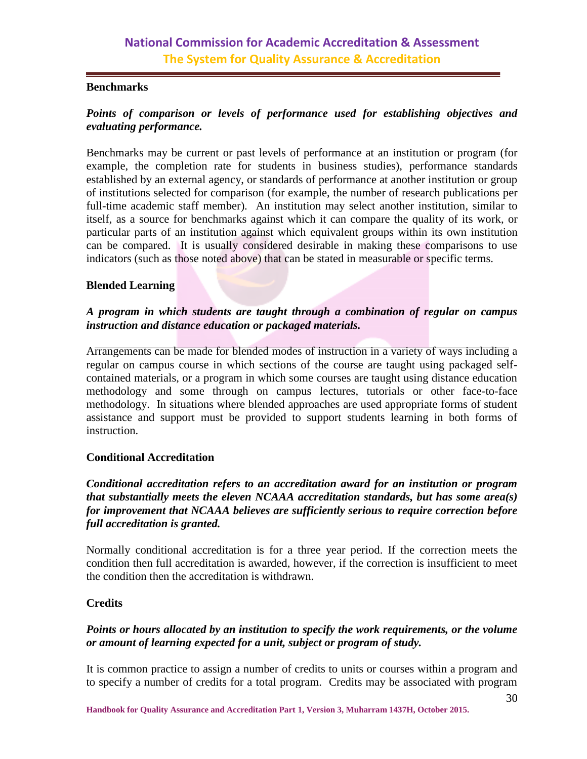#### **Benchmarks**

### *Points of comparison or levels of performance used for establishing objectives and evaluating performance.*

Benchmarks may be current or past levels of performance at an institution or program (for example, the completion rate for students in business studies), performance standards established by an external agency, or standards of performance at another institution or group of institutions selected for comparison (for example, the number of research publications per full-time academic staff member). An institution may select another institution, similar to itself, as a source for benchmarks against which it can compare the quality of its work, or particular parts of an institution against which equivalent groups within its own institution can be compared. It is usually considered desirable in making these comparisons to use indicators (such as those noted above) that can be stated in measurable or specific terms.

#### **Blended Learning**

#### *A program in which students are taught through a combination of regular on campus instruction and distance education or packaged materials.*

Arrangements can be made for blended modes of instruction in a variety of ways including a regular on campus course in which sections of the course are taught using packaged selfcontained materials, or a program in which some courses are taught using distance education methodology and some through on campus lectures, tutorials or other face-to-face methodology. In situations where blended approaches are used appropriate forms of student assistance and support must be provided to support students learning in both forms of instruction.

#### **Conditional Accreditation**

#### *Conditional accreditation refers to an accreditation award for an institution or program that substantially meets the eleven NCAAA accreditation standards, but has some area(s) for improvement that NCAAA believes are sufficiently serious to require correction before full accreditation is granted.*

Normally conditional accreditation is for a three year period. If the correction meets the condition then full accreditation is awarded, however, if the correction is insufficient to meet the condition then the accreditation is withdrawn.

#### **Credits**

#### *Points or hours allocated by an institution to specify the work requirements, or the volume or amount of learning expected for a unit, subject or program of study.*

It is common practice to assign a number of credits to units or courses within a program and to specify a number of credits for a total program. Credits may be associated with program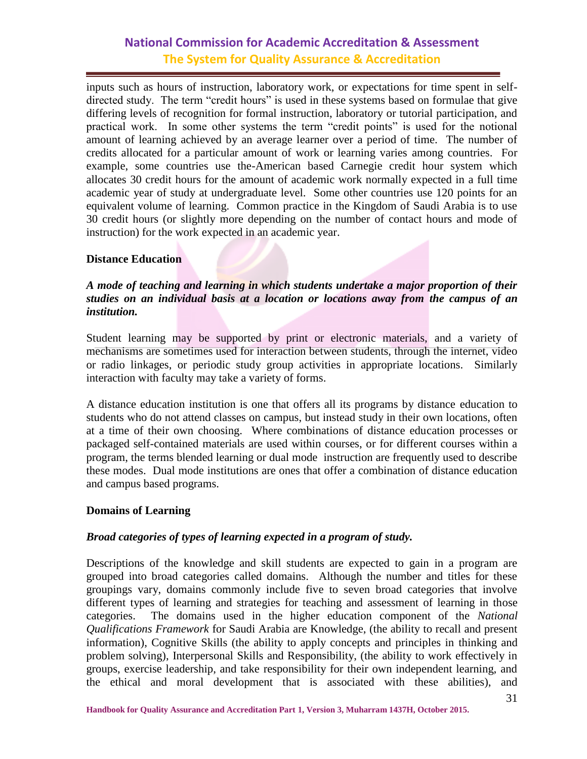inputs such as hours of instruction, laboratory work, or expectations for time spent in selfdirected study. The term "credit hours" is used in these systems based on formulae that give differing levels of recognition for formal instruction, laboratory or tutorial participation, and practical work. In some other systems the term "credit points" is used for the notional amount of learning achieved by an average learner over a period of time. The number of credits allocated for a particular amount of work or learning varies among countries. For example, some countries use the-American based Carnegie credit hour system which allocates 30 credit hours for the amount of academic work normally expected in a full time academic year of study at undergraduate level. Some other countries use 120 points for an equivalent volume of learning. Common practice in the Kingdom of Saudi Arabia is to use 30 credit hours (or slightly more depending on the number of contact hours and mode of instruction) for the work expected in an academic year.

#### **Distance Education**

#### *A mode of teaching and learning in which students undertake a major proportion of their studies on an individual basis at a location or locations away from the campus of an institution.*

Student learning may be supported by print or electronic materials, and a variety of mechanisms are sometimes used for interaction between students, through the internet, video or radio linkages, or periodic study group activities in appropriate locations. Similarly interaction with faculty may take a variety of forms.

A distance education institution is one that offers all its programs by distance education to students who do not attend classes on campus, but instead study in their own locations, often at a time of their own choosing. Where combinations of distance education processes or packaged self-contained materials are used within courses, or for different courses within a program, the terms blended learning or dual mode instruction are frequently used to describe these modes. Dual mode institutions are ones that offer a combination of distance education and campus based programs.

#### **Domains of Learning**

#### *Broad categories of types of learning expected in a program of study.*

Descriptions of the knowledge and skill students are expected to gain in a program are grouped into broad categories called domains. Although the number and titles for these groupings vary, domains commonly include five to seven broad categories that involve different types of learning and strategies for teaching and assessment of learning in those categories. The domains used in the higher education component of the *National Qualifications Framework* for Saudi Arabia are Knowledge, (the ability to recall and present information), Cognitive Skills (the ability to apply concepts and principles in thinking and problem solving), Interpersonal Skills and Responsibility, (the ability to work effectively in groups, exercise leadership, and take responsibility for their own independent learning, and the ethical and moral development that is associated with these abilities), and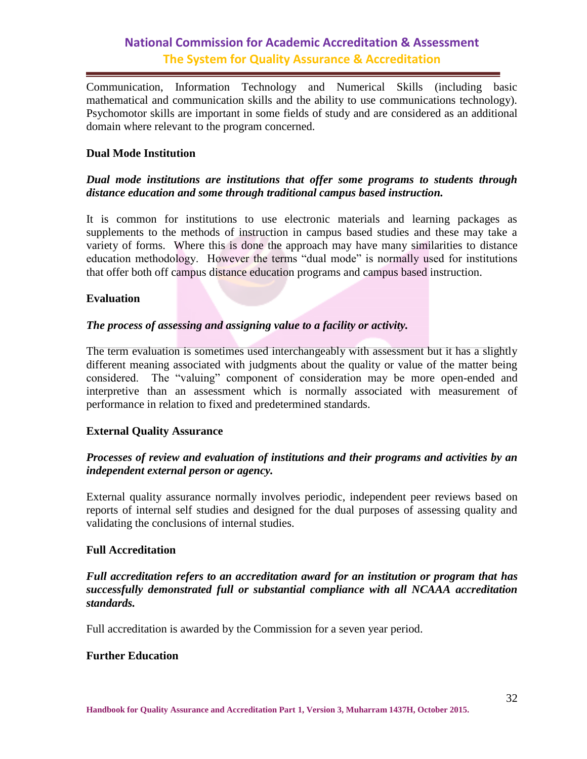Communication, Information Technology and Numerical Skills (including basic mathematical and communication skills and the ability to use communications technology). Psychomotor skills are important in some fields of study and are considered as an additional domain where relevant to the program concerned.

#### **Dual Mode Institution**

#### *Dual mode institutions are institutions that offer some programs to students through distance education and some through traditional campus based instruction.*

It is common for institutions to use electronic materials and learning packages as supplements to the methods of instruction in campus based studies and these may take a variety of forms. Where this is done the approach may have many similarities to distance education methodology. However the terms "dual mode" is normally used for institutions that offer both off campus distance education programs and campus based instruction.

#### **Evaluation**

#### *The process of assessing and assigning value to a facility or activity.*

The term evaluation is sometimes used interchangeably with assessment but it has a slightly different meaning associated with judgments about the quality or value of the matter being considered. The "valuing" component of consideration may be more open-ended and interpretive than an assessment which is normally associated with measurement of performance in relation to fixed and predetermined standards.

#### **External Quality Assurance**

#### *Processes of review and evaluation of institutions and their programs and activities by an independent external person or agency.*

External quality assurance normally involves periodic, independent peer reviews based on reports of internal self studies and designed for the dual purposes of assessing quality and validating the conclusions of internal studies.

#### **Full Accreditation**

*Full accreditation refers to an accreditation award for an institution or program that has successfully demonstrated full or substantial compliance with all NCAAA accreditation standards.*

Full accreditation is awarded by the Commission for a seven year period.

#### **Further Education**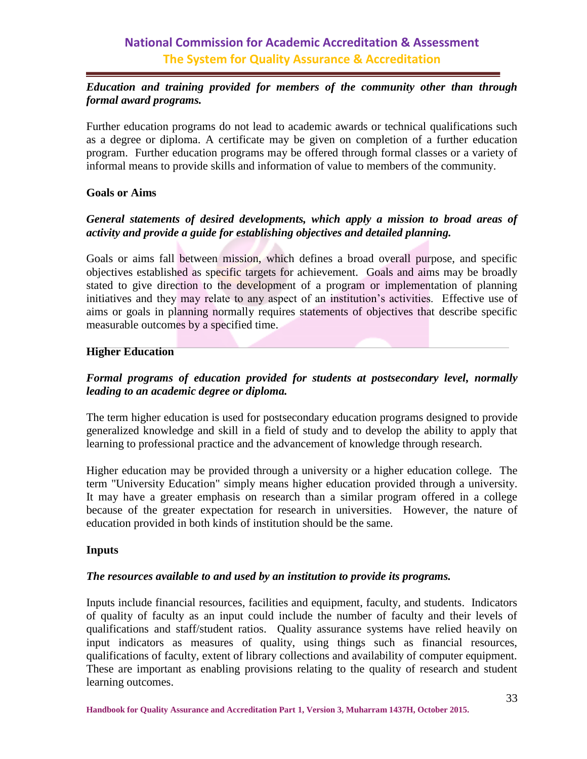#### *Education and training provided for members of the community other than through formal award programs.*

Further education programs do not lead to academic awards or technical qualifications such as a degree or diploma. A certificate may be given on completion of a further education program. Further education programs may be offered through formal classes or a variety of informal means to provide skills and information of value to members of the community.

#### **Goals or Aims**

#### *General statements of desired developments, which apply a mission to broad areas of activity and provide a guide for establishing objectives and detailed planning.*

Goals or aims fall between mission, which defines a broad overall purpose, and specific objectives established as specific targets for achievement. Goals and aims may be broadly stated to give direction to the development of a program or implementation of planning initiatives and they may relate to any aspect of an institution's activities. Effective use of aims or goals in planning normally requires statements of objectives that describe specific measurable outcomes by a specified time.

#### **Higher Education**

### *Formal programs of education provided for students at postsecondary level, normally leading to an academic degree or diploma.*

The term higher education is used for postsecondary education programs designed to provide generalized knowledge and skill in a field of study and to develop the ability to apply that learning to professional practice and the advancement of knowledge through research.

Higher education may be provided through a university or a higher education college. The term "University Education" simply means higher education provided through a university. It may have a greater emphasis on research than a similar program offered in a college because of the greater expectation for research in universities. However, the nature of education provided in both kinds of institution should be the same.

#### **Inputs**

#### *The resources available to and used by an institution to provide its programs.*

Inputs include financial resources, facilities and equipment, faculty, and students. Indicators of quality of faculty as an input could include the number of faculty and their levels of qualifications and staff/student ratios. Quality assurance systems have relied heavily on input indicators as measures of quality, using things such as financial resources, qualifications of faculty, extent of library collections and availability of computer equipment. These are important as enabling provisions relating to the quality of research and student learning outcomes.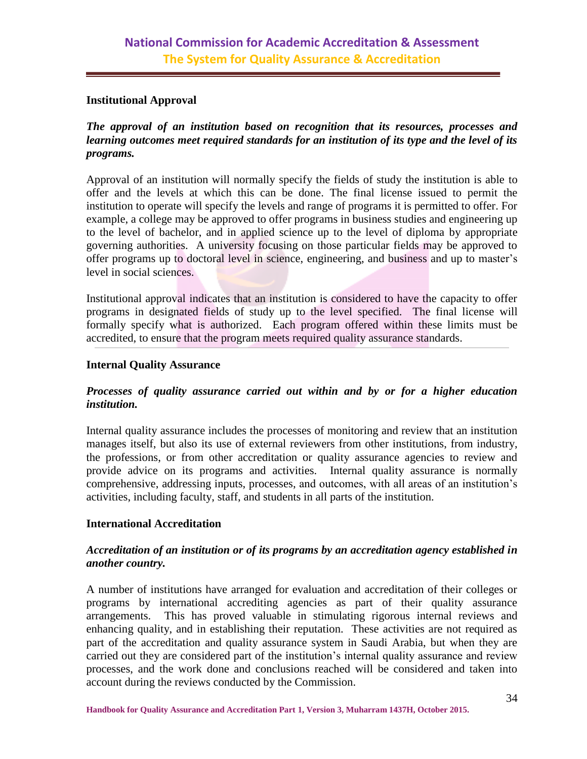#### **Institutional Approval**

#### *The approval of an institution based on recognition that its resources, processes and learning outcomes meet required standards for an institution of its type and the level of its programs.*

Approval of an institution will normally specify the fields of study the institution is able to offer and the levels at which this can be done. The final license issued to permit the institution to operate will specify the levels and range of programs it is permitted to offer. For example, a college may be approved to offer programs in business studies and engineering up to the level of bachelor, and in applied science up to the level of diploma by appropriate governing authorities. A university focusing on those particular fields may be approved to offer programs up to doctoral level in science, engineering, and business and up to master's level in social sciences.

Institutional approval indicates that an institution is considered to have the capacity to offer programs in designated fields of study up to the level specified. The final license will formally specify what is authorized. Each program offered within these limits must be accredited, to ensure that the program meets required quality assurance standards.

#### **Internal Quality Assurance**

#### *Processes of quality assurance carried out within and by or for a higher education institution.*

Internal quality assurance includes the processes of monitoring and review that an institution manages itself, but also its use of external reviewers from other institutions, from industry, the professions, or from other accreditation or quality assurance agencies to review and provide advice on its programs and activities. Internal quality assurance is normally comprehensive, addressing inputs, processes, and outcomes, with all areas of an institution's activities, including faculty, staff, and students in all parts of the institution.

#### **International Accreditation**

#### *Accreditation of an institution or of its programs by an accreditation agency established in another country.*

A number of institutions have arranged for evaluation and accreditation of their colleges or programs by international accrediting agencies as part of their quality assurance arrangements. This has proved valuable in stimulating rigorous internal reviews and enhancing quality, and in establishing their reputation. These activities are not required as part of the accreditation and quality assurance system in Saudi Arabia, but when they are carried out they are considered part of the institution's internal quality assurance and review processes, and the work done and conclusions reached will be considered and taken into account during the reviews conducted by the Commission.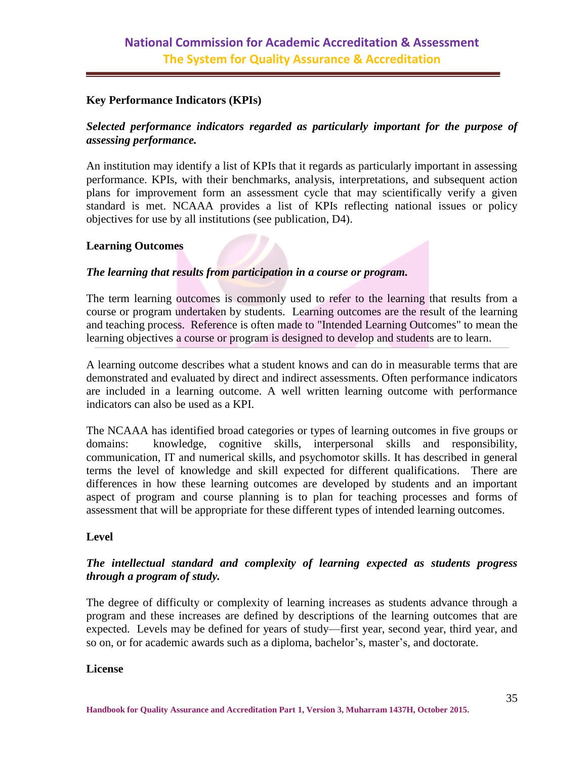#### **Key Performance Indicators (KPIs)**

#### *Selected performance indicators regarded as particularly important for the purpose of assessing performance.*

An institution may identify a list of KPIs that it regards as particularly important in assessing performance. KPIs, with their benchmarks, analysis, interpretations, and subsequent action plans for improvement form an assessment cycle that may scientifically verify a given standard is met. NCAAA provides a list of KPIs reflecting national issues or policy objectives for use by all institutions (see publication, D4).

#### **Learning Outcomes**

#### *The learning that results from participation in a course or program.*

The term learning outcomes is commonly used to refer to the learning that results from a course or program undertaken by students. Learning outcomes are the result of the learning and teaching process. Reference is often made to "Intended Learning Outcomes" to mean the learning objectives a course or program is designed to develop and students are to learn.

A learning outcome describes what a student knows and can do in measurable terms that are demonstrated and evaluated by direct and indirect assessments. Often performance indicators are included in a learning outcome. A well written learning outcome with performance indicators can also be used as a KPI.

The NCAAA has identified broad categories or types of learning outcomes in five groups or domains: knowledge, cognitive skills, interpersonal skills and responsibility, communication, IT and numerical skills, and psychomotor skills. It has described in general terms the level of knowledge and skill expected for different qualifications. There are differences in how these learning outcomes are developed by students and an important aspect of program and course planning is to plan for teaching processes and forms of assessment that will be appropriate for these different types of intended learning outcomes.

#### **Level**

#### *The intellectual standard and complexity of learning expected as students progress through a program of study.*

The degree of difficulty or complexity of learning increases as students advance through a program and these increases are defined by descriptions of the learning outcomes that are expected. Levels may be defined for years of study—first year, second year, third year, and so on, or for academic awards such as a diploma, bachelor's, master's, and doctorate.

#### **License**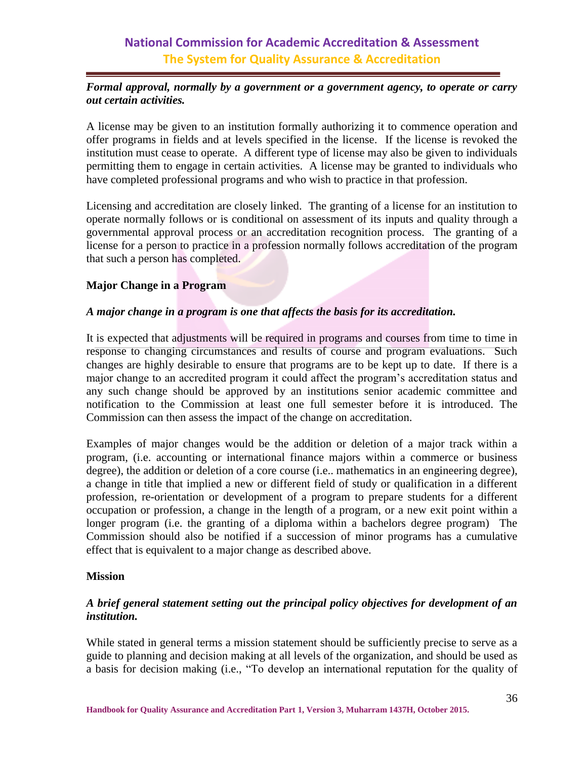#### *Formal approval, normally by a government or a government agency, to operate or carry out certain activities.*

A license may be given to an institution formally authorizing it to commence operation and offer programs in fields and at levels specified in the license. If the license is revoked the institution must cease to operate. A different type of license may also be given to individuals permitting them to engage in certain activities. A license may be granted to individuals who have completed professional programs and who wish to practice in that profession.

Licensing and accreditation are closely linked. The granting of a license for an institution to operate normally follows or is conditional on assessment of its inputs and quality through a governmental approval process or an accreditation recognition process. The granting of a license for a person to practice in a profession normally follows accreditation of the program that such a person has completed.

#### **Major Change in a Program**

#### *A major change in a program is one that affects the basis for its accreditation.*

It is expected that adjustments will be required in programs and courses from time to time in response to changing circumstances and results of course and program evaluations. Such changes are highly desirable to ensure that programs are to be kept up to date. If there is a major change to an accredited program it could affect the program's accreditation status and any such change should be approved by an institutions senior academic committee and notification to the Commission at least one full semester before it is introduced. The Commission can then assess the impact of the change on accreditation.

Examples of major changes would be the addition or deletion of a major track within a program, (i.e. accounting or international finance majors within a commerce or business degree), the addition or deletion of a core course (i.e.. mathematics in an engineering degree), a change in title that implied a new or different field of study or qualification in a different profession, re-orientation or development of a program to prepare students for a different occupation or profession, a change in the length of a program, or a new exit point within a longer program (i.e. the granting of a diploma within a bachelors degree program) The Commission should also be notified if a succession of minor programs has a cumulative effect that is equivalent to a major change as described above.

#### **Mission**

#### *A brief general statement setting out the principal policy objectives for development of an institution.*

While stated in general terms a mission statement should be sufficiently precise to serve as a guide to planning and decision making at all levels of the organization, and should be used as a basis for decision making (i.e., "To develop an international reputation for the quality of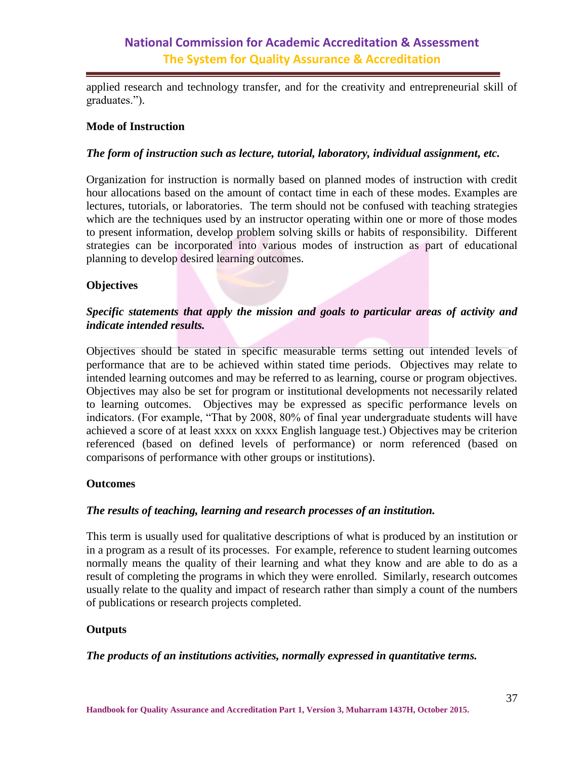applied research and technology transfer, and for the creativity and entrepreneurial skill of graduates.").

#### **Mode of Instruction**

#### *The form of instruction such as lecture, tutorial, laboratory, individual assignment, etc.*

Organization for instruction is normally based on planned modes of instruction with credit hour allocations based on the amount of contact time in each of these modes. Examples are lectures, tutorials, or laboratories. The term should not be confused with teaching strategies which are the techniques used by an instructor operating within one or more of those modes to present information, develop problem solving skills or habits of responsibility. Different strategies can be incorporated into various modes of instruction as part of educational planning to develop desired learning outcomes.

#### **Objectives**

#### *Specific statements that apply the mission and goals to particular areas of activity and indicate intended results.*

Objectives should be stated in specific measurable terms setting out intended levels of performance that are to be achieved within stated time periods. Objectives may relate to intended learning outcomes and may be referred to as learning, course or program objectives. Objectives may also be set for program or institutional developments not necessarily related to learning outcomes. Objectives may be expressed as specific performance levels on indicators. (For example, "That by 2008, 80% of final year undergraduate students will have achieved a score of at least xxxx on xxxx English language test.) Objectives may be criterion referenced (based on defined levels of performance) or norm referenced (based on comparisons of performance with other groups or institutions).

#### **Outcomes**

#### *The results of teaching, learning and research processes of an institution.*

This term is usually used for qualitative descriptions of what is produced by an institution or in a program as a result of its processes. For example, reference to student learning outcomes normally means the quality of their learning and what they know and are able to do as a result of completing the programs in which they were enrolled. Similarly, research outcomes usually relate to the quality and impact of research rather than simply a count of the numbers of publications or research projects completed.

#### **Outputs**

#### *The products of an institutions activities, normally expressed in quantitative terms.*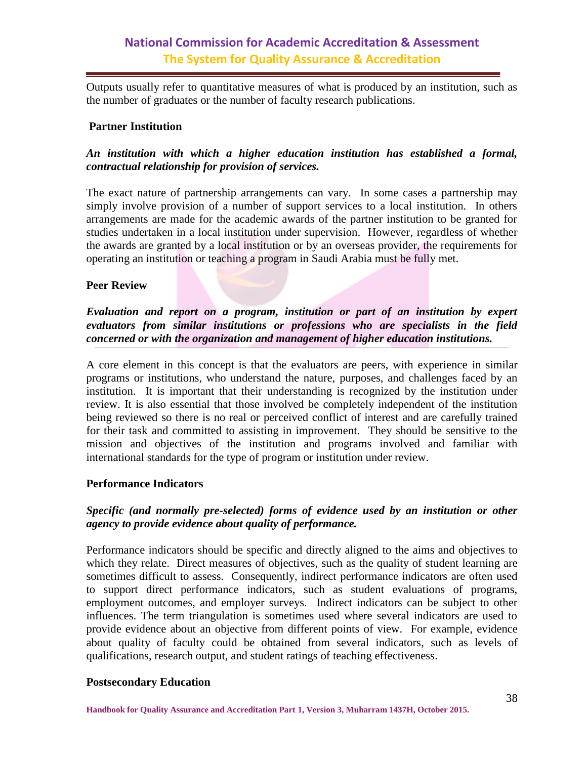Outputs usually refer to quantitative measures of what is produced by an institution, such as the number of graduates or the number of faculty research publications.

#### **Partner Institution**

#### *An institution with which a higher education institution has established a formal, contractual relationship for provision of services.*

The exact nature of partnership arrangements can vary. In some cases a partnership may simply involve provision of a number of support services to a local institution. In others arrangements are made for the academic awards of the partner institution to be granted for studies undertaken in a local institution under supervision. However, regardless of whether the awards are granted by a local institution or by an overseas provider, the requirements for operating an institution or teaching a program in Saudi Arabia must be fully met.

#### **Peer Review**

#### *Evaluation and report on a program, institution or part of an institution by expert evaluators from similar institutions or professions who are specialists in the field concerned or with the organization and management of higher education institutions.*

A core element in this concept is that the evaluators are peers, with experience in similar programs or institutions, who understand the nature, purposes, and challenges faced by an institution. It is important that their understanding is recognized by the institution under review. It is also essential that those involved be completely independent of the institution being reviewed so there is no real or perceived conflict of interest and are carefully trained for their task and committed to assisting in improvement. They should be sensitive to the mission and objectives of the institution and programs involved and familiar with international standards for the type of program or institution under review.

#### **Performance Indicators**

#### *Specific (and normally pre-selected) forms of evidence used by an institution or other agency to provide evidence about quality of performance.*

Performance indicators should be specific and directly aligned to the aims and objectives to which they relate. Direct measures of objectives, such as the quality of student learning are sometimes difficult to assess. Consequently, indirect performance indicators are often used to support direct performance indicators, such as student evaluations of programs, employment outcomes, and employer surveys. Indirect indicators can be subject to other influences. The term triangulation is sometimes used where several indicators are used to provide evidence about an objective from different points of view. For example, evidence about quality of faculty could be obtained from several indicators, such as levels of qualifications, research output, and student ratings of teaching effectiveness.

#### **Postsecondary Education**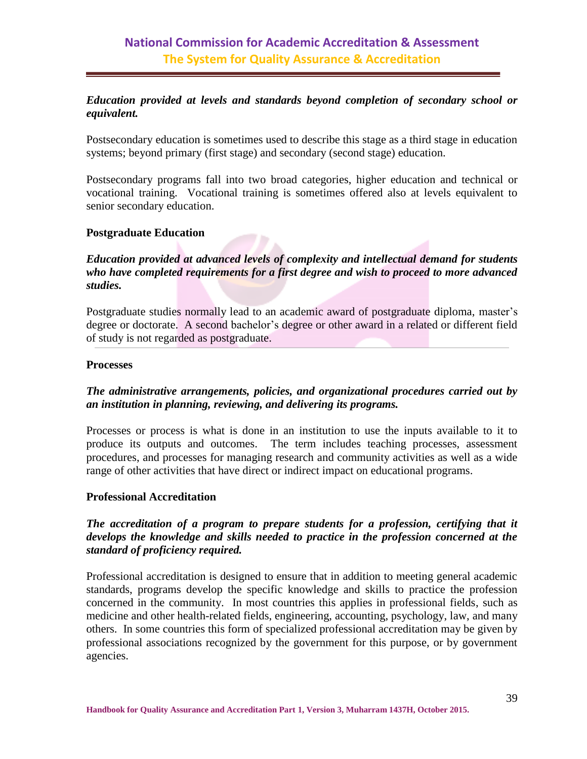#### *Education provided at levels and standards beyond completion of secondary school or equivalent.*

Postsecondary education is sometimes used to describe this stage as a third stage in education systems; beyond primary (first stage) and secondary (second stage) education.

Postsecondary programs fall into two broad categories, higher education and technical or vocational training. Vocational training is sometimes offered also at levels equivalent to senior secondary education.

#### **Postgraduate Education**

#### *Education provided at advanced levels of complexity and intellectual demand for students who have completed requirements for a first degree and wish to proceed to more advanced studies.*

Postgraduate studies normally lead to an academic award of postgraduate diploma, master's degree or doctorate. A second bachelor's degree or other award in a related or different field of study is not regarded as postgraduate.

#### **Processes**

#### *The administrative arrangements, policies, and organizational procedures carried out by an institution in planning, reviewing, and delivering its programs.*

Processes or process is what is done in an institution to use the inputs available to it to produce its outputs and outcomes. The term includes teaching processes, assessment procedures, and processes for managing research and community activities as well as a wide range of other activities that have direct or indirect impact on educational programs.

#### **Professional Accreditation**

#### *The accreditation of a program to prepare students for a profession, certifying that it develops the knowledge and skills needed to practice in the profession concerned at the standard of proficiency required.*

Professional accreditation is designed to ensure that in addition to meeting general academic standards, programs develop the specific knowledge and skills to practice the profession concerned in the community. In most countries this applies in professional fields, such as medicine and other health-related fields, engineering, accounting, psychology, law, and many others. In some countries this form of specialized professional accreditation may be given by professional associations recognized by the government for this purpose, or by government agencies.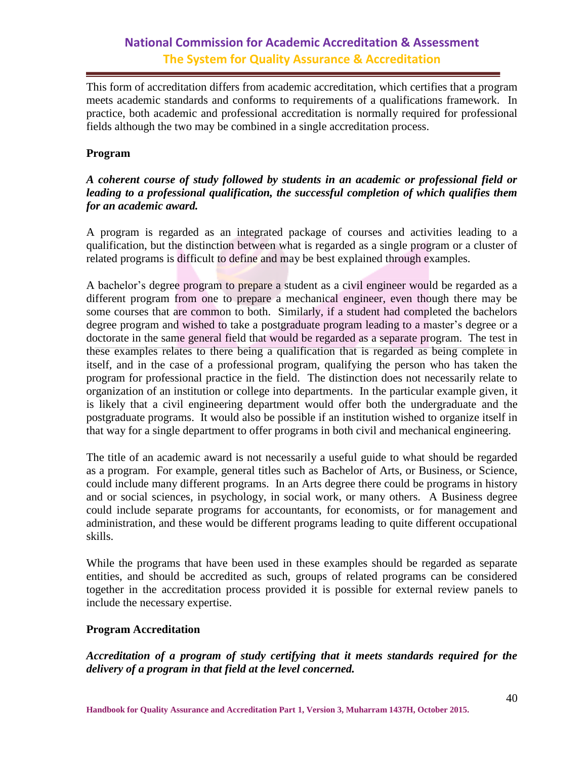This form of accreditation differs from academic accreditation, which certifies that a program meets academic standards and conforms to requirements of a qualifications framework. In practice, both academic and professional accreditation is normally required for professional fields although the two may be combined in a single accreditation process.

#### **Program**

#### *A coherent course of study followed by students in an academic or professional field or leading to a professional qualification, the successful completion of which qualifies them for an academic award.*

A program is regarded as an integrated package of courses and activities leading to a qualification, but the distinction between what is regarded as a single program or a cluster of related programs is difficult to define and may be best explained through examples.

A bachelor's degree program to prepare a student as a civil engineer would be regarded as a different program from one to prepare a mechanical engineer, even though there may be some courses that are common to both. Similarly, if a student had completed the bachelors degree program and wished to take a postgraduate program leading to a master's degree or a doctorate in the same general field that would be regarded as a separate program. The test in these examples relates to there being a qualification that is regarded as being complete in itself, and in the case of a professional program, qualifying the person who has taken the program for professional practice in the field. The distinction does not necessarily relate to organization of an institution or college into departments. In the particular example given, it is likely that a civil engineering department would offer both the undergraduate and the postgraduate programs. It would also be possible if an institution wished to organize itself in that way for a single department to offer programs in both civil and mechanical engineering.

The title of an academic award is not necessarily a useful guide to what should be regarded as a program. For example, general titles such as Bachelor of Arts, or Business, or Science, could include many different programs. In an Arts degree there could be programs in history and or social sciences, in psychology, in social work, or many others. A Business degree could include separate programs for accountants, for economists, or for management and administration, and these would be different programs leading to quite different occupational skills.

While the programs that have been used in these examples should be regarded as separate entities, and should be accredited as such, groups of related programs can be considered together in the accreditation process provided it is possible for external review panels to include the necessary expertise.

#### **Program Accreditation**

*Accreditation of a program of study certifying that it meets standards required for the delivery of a program in that field at the level concerned.*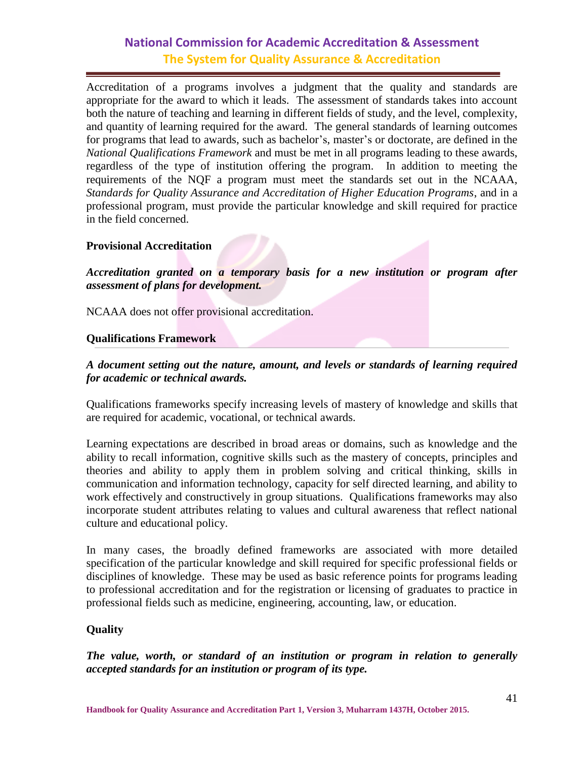Accreditation of a programs involves a judgment that the quality and standards are appropriate for the award to which it leads. The assessment of standards takes into account both the nature of teaching and learning in different fields of study, and the level, complexity, and quantity of learning required for the award. The general standards of learning outcomes for programs that lead to awards, such as bachelor's, master's or doctorate, are defined in the *National Qualifications Framework* and must be met in all programs leading to these awards, regardless of the type of institution offering the program. In addition to meeting the requirements of the NQF a program must meet the standards set out in the NCAAA, *Standards for Quality Assurance and Accreditation of Higher Education Programs*, and in a professional program, must provide the particular knowledge and skill required for practice in the field concerned.

#### **Provisional Accreditation**

*Accreditation granted on a temporary basis for a new institution or program after assessment of plans for development.* 

NCAAA does not offer provisional accreditation.

#### **Qualifications Framework**

#### *A document setting out the nature, amount, and levels or standards of learning required for academic or technical awards.*

Qualifications frameworks specify increasing levels of mastery of knowledge and skills that are required for academic, vocational, or technical awards.

Learning expectations are described in broad areas or domains, such as knowledge and the ability to recall information, cognitive skills such as the mastery of concepts, principles and theories and ability to apply them in problem solving and critical thinking, skills in communication and information technology, capacity for self directed learning, and ability to work effectively and constructively in group situations. Qualifications frameworks may also incorporate student attributes relating to values and cultural awareness that reflect national culture and educational policy.

In many cases, the broadly defined frameworks are associated with more detailed specification of the particular knowledge and skill required for specific professional fields or disciplines of knowledge. These may be used as basic reference points for programs leading to professional accreditation and for the registration or licensing of graduates to practice in professional fields such as medicine, engineering, accounting, law, or education.

#### **Quality**

*The value, worth, or standard of an institution or program in relation to generally accepted standards for an institution or program of its type.*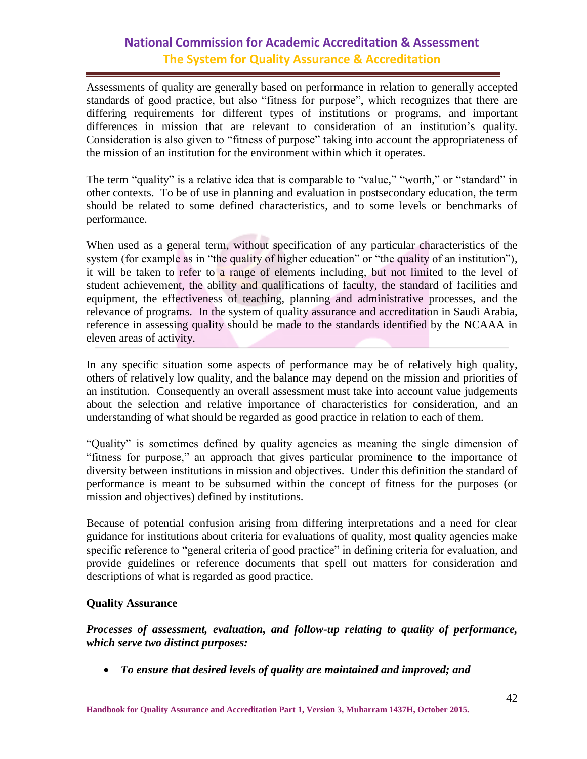Assessments of quality are generally based on performance in relation to generally accepted standards of good practice, but also "fitness for purpose", which recognizes that there are differing requirements for different types of institutions or programs, and important differences in mission that are relevant to consideration of an institution's quality. Consideration is also given to "fitness of purpose" taking into account the appropriateness of the mission of an institution for the environment within which it operates.

The term "quality" is a relative idea that is comparable to "value," "worth," or "standard" in other contexts. To be of use in planning and evaluation in postsecondary education, the term should be related to some defined characteristics, and to some levels or benchmarks of performance.

When used as a general term, without specification of any particular characteristics of the system (for example as in "the quality of higher education" or "the quality of an institution"), it will be taken to refer to a range of elements including, but not limited to the level of student achievement, the ability and qualifications of faculty, the standard of facilities and equipment, the effectiveness of teaching, planning and administrative processes, and the relevance of programs. In the system of quality assurance and accreditation in Saudi Arabia, reference in assessing quality should be made to the standards identified by the NCAAA in eleven areas of activity.

In any specific situation some aspects of performance may be of relatively high quality, others of relatively low quality, and the balance may depend on the mission and priorities of an institution. Consequently an overall assessment must take into account value judgements about the selection and relative importance of characteristics for consideration, and an understanding of what should be regarded as good practice in relation to each of them.

"Quality" is sometimes defined by quality agencies as meaning the single dimension of "fitness for purpose," an approach that gives particular prominence to the importance of diversity between institutions in mission and objectives. Under this definition the standard of performance is meant to be subsumed within the concept of fitness for the purposes (or mission and objectives) defined by institutions.

Because of potential confusion arising from differing interpretations and a need for clear guidance for institutions about criteria for evaluations of quality, most quality agencies make specific reference to "general criteria of good practice" in defining criteria for evaluation, and provide guidelines or reference documents that spell out matters for consideration and descriptions of what is regarded as good practice.

#### **Quality Assurance**

*Processes of assessment, evaluation, and follow-up relating to quality of performance, which serve two distinct purposes:*

*To ensure that desired levels of quality are maintained and improved; and*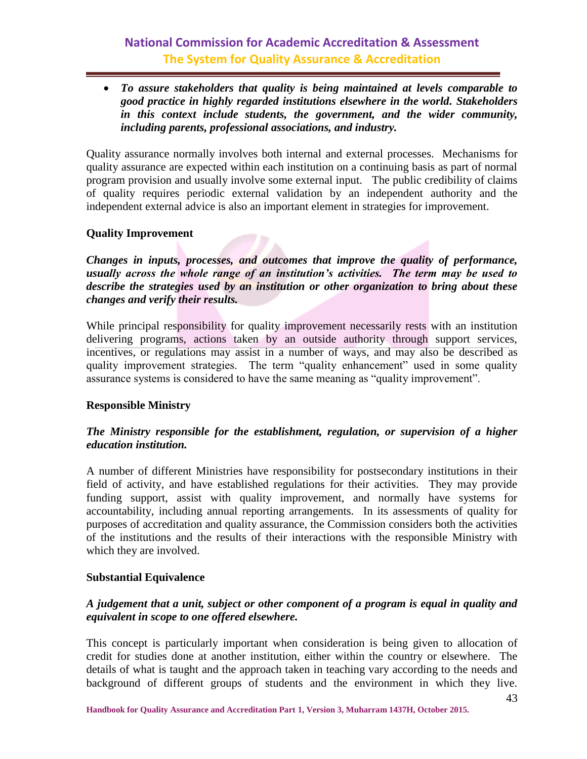*To assure stakeholders that quality is being maintained at levels comparable to good practice in highly regarded institutions elsewhere in the world. Stakeholders in this context include students, the government, and the wider community, including parents, professional associations, and industry.*

Quality assurance normally involves both internal and external processes. Mechanisms for quality assurance are expected within each institution on a continuing basis as part of normal program provision and usually involve some external input. The public credibility of claims of quality requires periodic external validation by an independent authority and the independent external advice is also an important element in strategies for improvement.

#### **Quality Improvement**

*Changes in inputs, processes, and outcomes that improve the quality of performance, usually across the whole range of an institution's activities. The term may be used to describe the strategies used by an institution or other organization to bring about these changes and verify their results.*

While principal responsibility for quality improvement necessarily rests with an institution delivering programs, actions taken by an outside authority through support services, incentives, or regulations may assist in a number of ways, and may also be described as quality improvement strategies. The term "quality enhancement" used in some quality assurance systems is considered to have the same meaning as "quality improvement".

#### **Responsible Ministry**

#### *The Ministry responsible for the establishment, regulation, or supervision of a higher education institution.*

A number of different Ministries have responsibility for postsecondary institutions in their field of activity, and have established regulations for their activities. They may provide funding support, assist with quality improvement, and normally have systems for accountability, including annual reporting arrangements. In its assessments of quality for purposes of accreditation and quality assurance, the Commission considers both the activities of the institutions and the results of their interactions with the responsible Ministry with which they are involved.

#### **Substantial Equivalence**

#### *A judgement that a unit, subject or other component of a program is equal in quality and equivalent in scope to one offered elsewhere.*

This concept is particularly important when consideration is being given to allocation of credit for studies done at another institution, either within the country or elsewhere. The details of what is taught and the approach taken in teaching vary according to the needs and background of different groups of students and the environment in which they live.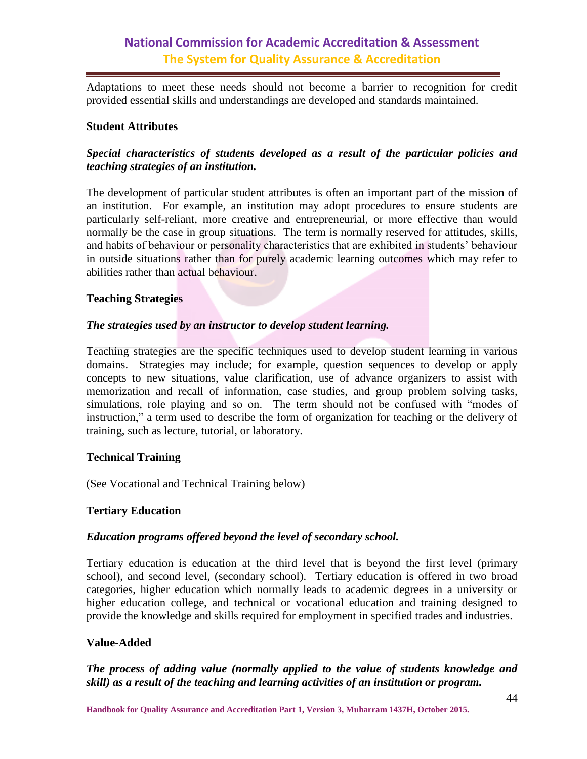Adaptations to meet these needs should not become a barrier to recognition for credit provided essential skills and understandings are developed and standards maintained.

#### **Student Attributes**

#### *Special characteristics of students developed as a result of the particular policies and teaching strategies of an institution.*

The development of particular student attributes is often an important part of the mission of an institution. For example, an institution may adopt procedures to ensure students are particularly self-reliant, more creative and entrepreneurial, or more effective than would normally be the case in group situations. The term is normally reserved for attitudes, skills, and habits of behaviour or personality characteristics that are exhibited in students' behaviour in outside situations rather than for purely academic learning outcomes which may refer to abilities rather than actual behaviour.

#### **Teaching Strategies**

#### *The strategies used by an instructor to develop student learning.*

Teaching strategies are the specific techniques used to develop student learning in various domains. Strategies may include; for example, question sequences to develop or apply concepts to new situations, value clarification, use of advance organizers to assist with memorization and recall of information, case studies, and group problem solving tasks, simulations, role playing and so on. The term should not be confused with "modes of instruction," a term used to describe the form of organization for teaching or the delivery of training, such as lecture, tutorial, or laboratory.

#### **Technical Training**

(See Vocational and Technical Training below)

#### **Tertiary Education**

#### *Education programs offered beyond the level of secondary school.*

Tertiary education is education at the third level that is beyond the first level (primary school), and second level, (secondary school). Tertiary education is offered in two broad categories, higher education which normally leads to academic degrees in a university or higher education college, and technical or vocational education and training designed to provide the knowledge and skills required for employment in specified trades and industries.

#### **Value-Added**

*The process of adding value (normally applied to the value of students knowledge and skill) as a result of the teaching and learning activities of an institution or program.*